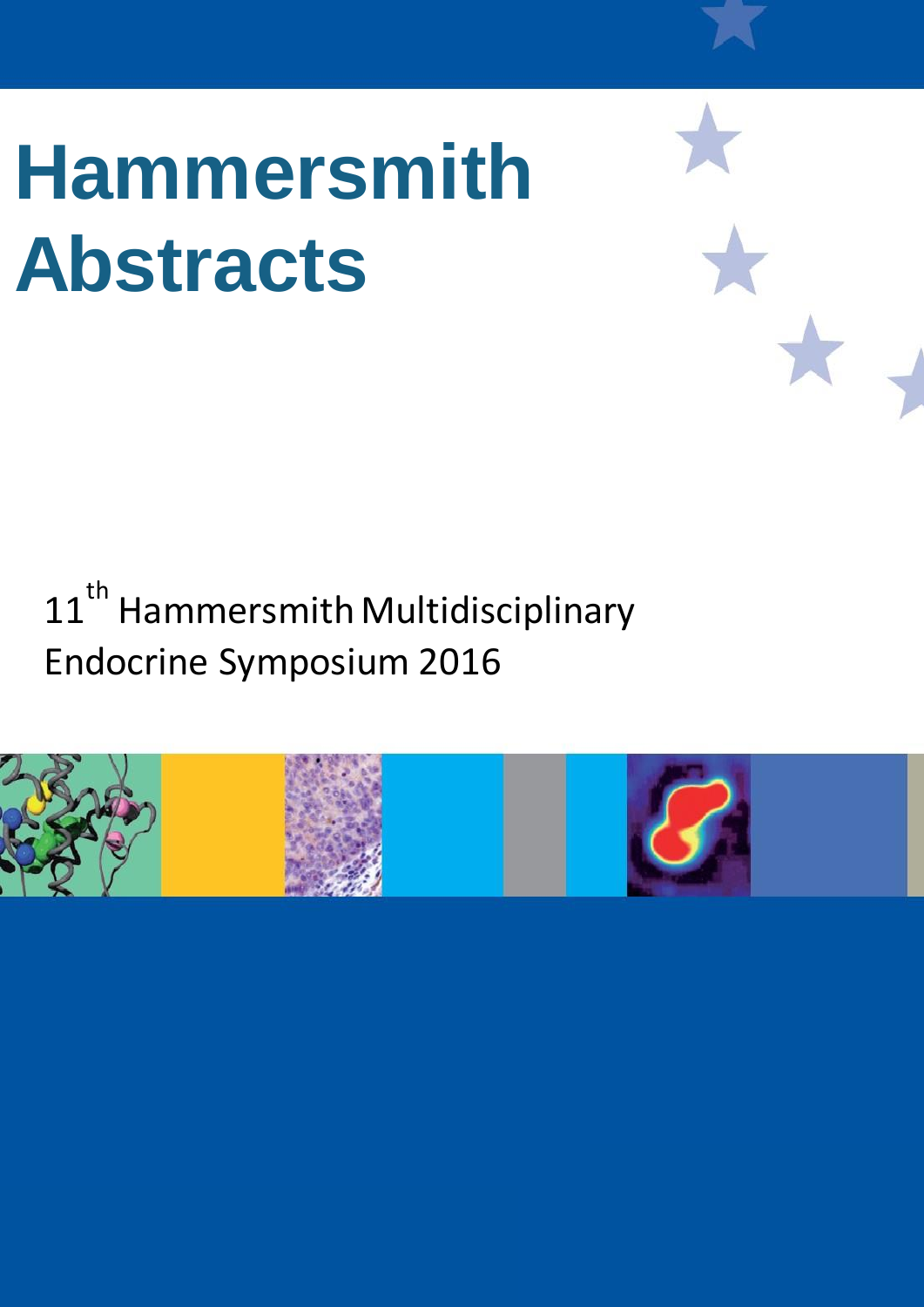# **Hammersmith Abstracts**

# $11^{th}$  Hammersmith Multidisciplinary Endocrine Symposium 2016

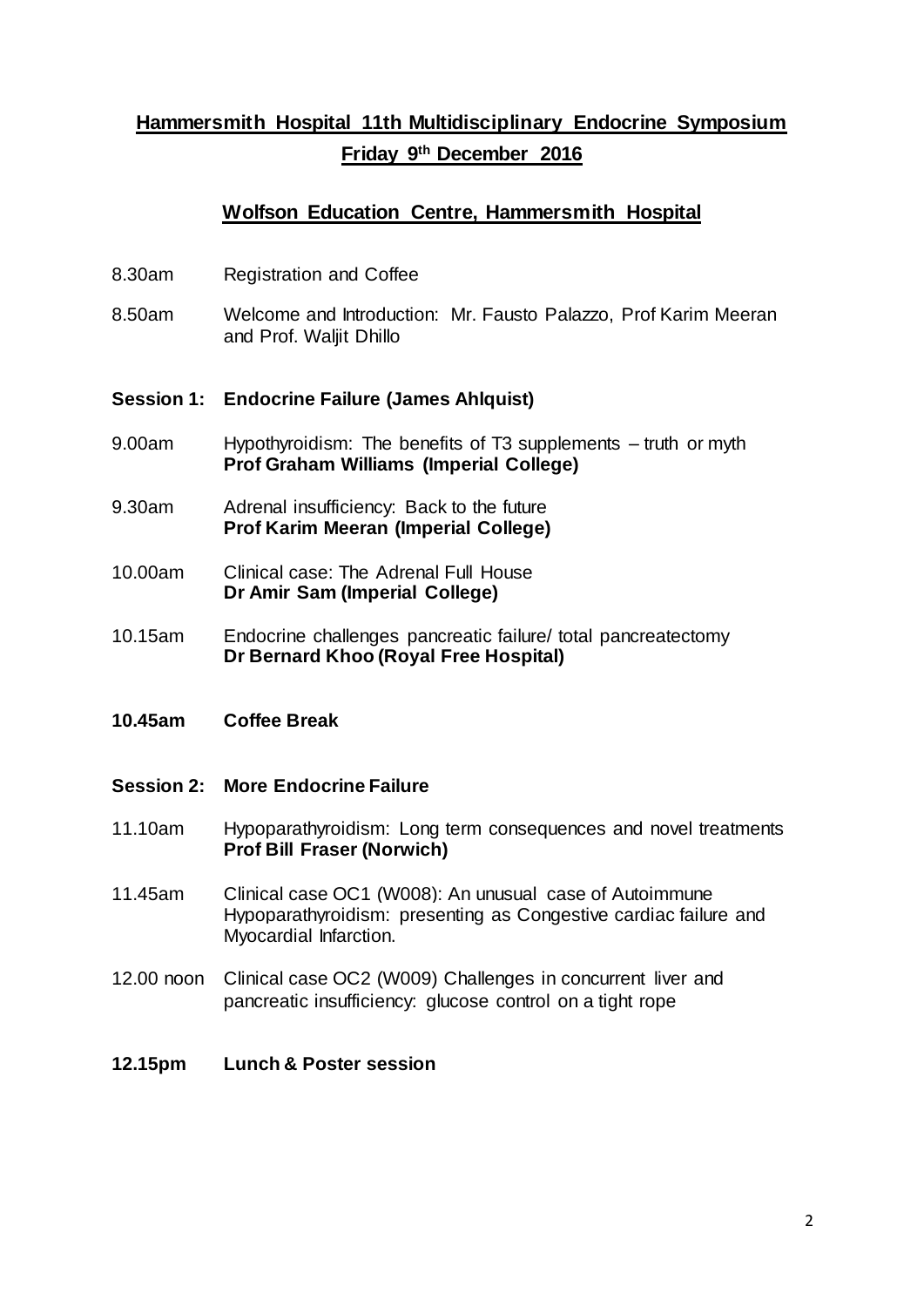#### **Hammersmith Hospital 11th Multidisciplinary Endocrine Symposium Friday 9th December 2016**

#### **Wolfson Education Centre, Hammersmith Hospital**

- 8.30am Registration and Coffee
- 8.50am Welcome and Introduction: Mr. Fausto Palazzo, Prof Karim Meeran and Prof. Waljit Dhillo

#### **Session 1: Endocrine Failure (James Ahlquist)**

- 9.00am Hypothyroidism: The benefits of T3 supplements truth or myth **Prof Graham Williams (Imperial College)**
- 9.30am Adrenal insufficiency: Back to the future **Prof Karim Meeran (Imperial College)**
- 10.00am Clinical case: The Adrenal Full House **Dr Amir Sam (Imperial College)**
- 10.15am Endocrine challenges pancreatic failure/ total pancreatectomy **Dr Bernard Khoo (Royal Free Hospital)**
- **10.45am Coffee Break**
- **Session 2: More Endocrine Failure**
- 11.10am Hypoparathyroidism: Long term consequences and novel treatments **Prof Bill Fraser (Norwich)**
- 11.45am Clinical case OC1 (W008): An unusual case of Autoimmune Hypoparathyroidism: presenting as Congestive cardiac failure and Myocardial Infarction.
- 12.00 noon Clinical case OC2 (W009) Challenges in concurrent liver and pancreatic insufficiency: glucose control on a tight rope
- **12.15pm Lunch & Poster session**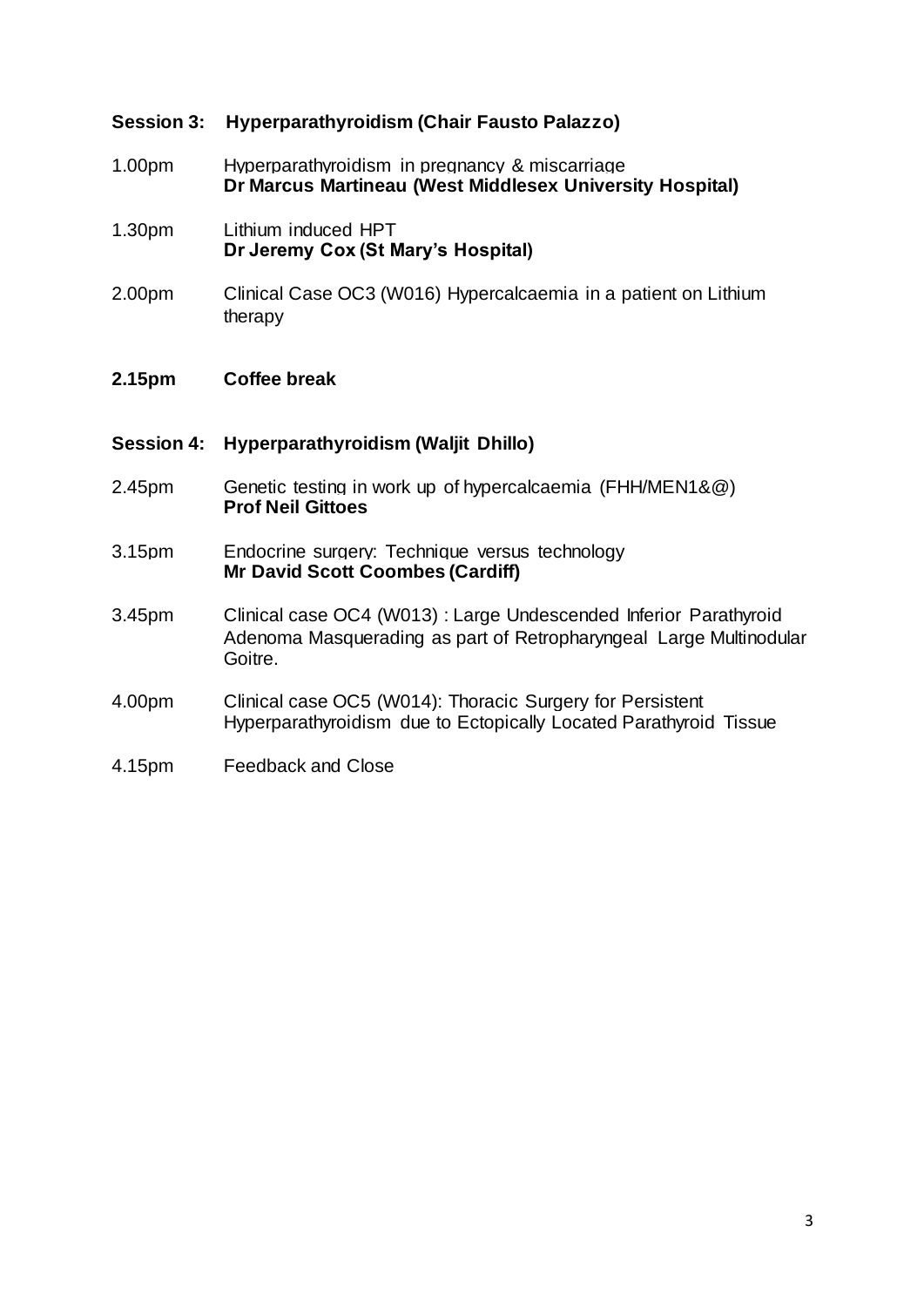#### **Session 3: Hyperparathyroidism (Chair Fausto Palazzo)**

- 1.00pm Hyperparathyroidism in pregnancy & miscarriage **Dr Marcus Martineau (West Middlesex University Hospital)**
- 1.30pm Lithium induced HPT **Dr Jeremy Cox (St Mary's Hospital)**
- 2.00pm Clinical Case OC3 (W016) Hypercalcaemia in a patient on Lithium therapy

#### **2.15pm Coffee break**

#### **Session 4: Hyperparathyroidism (Waljit Dhillo)**

- 2.45pm Genetic testing in work up of hypercalcaemia (FHH/MEN1&@) **Prof Neil Gittoes**
- 3.15pm Endocrine surgery: Technique versus technology **Mr David Scott Coombes (Cardiff)**
- 3.45pm Clinical case OC4 (W013) : Large Undescended Inferior Parathyroid Adenoma Masquerading as part of Retropharyngeal Large Multinodular Goitre.
- 4.00pm Clinical case OC5 (W014): Thoracic Surgery for Persistent Hyperparathyroidism due to Ectopically Located Parathyroid Tissue
- 4.15pm Feedback and Close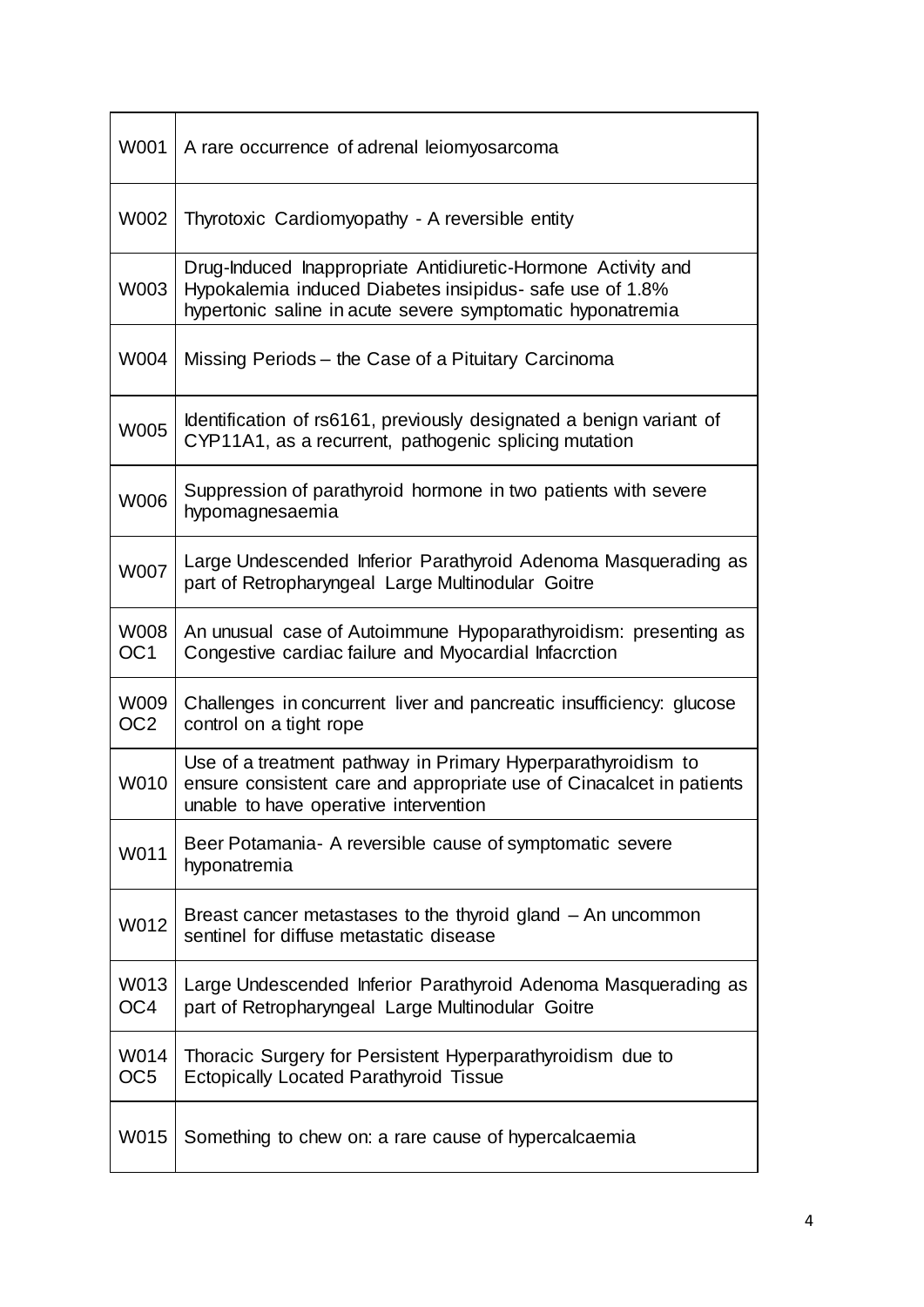| W001                    | A rare occurrence of adrenal leiomyosarcoma                                                                                                                                            |
|-------------------------|----------------------------------------------------------------------------------------------------------------------------------------------------------------------------------------|
| W002                    | Thyrotoxic Cardiomyopathy - A reversible entity                                                                                                                                        |
| W003                    | Drug-Induced Inappropriate Antidiuretic-Hormone Activity and<br>Hypokalemia induced Diabetes insipidus- safe use of 1.8%<br>hypertonic saline in acute severe symptomatic hyponatremia |
| W004                    | Missing Periods – the Case of a Pituitary Carcinoma                                                                                                                                    |
| W005                    | Identification of rs6161, previously designated a benign variant of<br>CYP11A1, as a recurrent, pathogenic splicing mutation                                                           |
| W006                    | Suppression of parathyroid hormone in two patients with severe<br>hypomagnesaemia                                                                                                      |
| <b>W007</b>             | Large Undescended Inferior Parathyroid Adenoma Masquerading as<br>part of Retropharyngeal Large Multinodular Goitre                                                                    |
| W008<br>OC <sub>1</sub> | An unusual case of Autoimmune Hypoparathyroidism: presenting as<br>Congestive cardiac failure and Myocardial Infacrction                                                               |
| W009<br>OC <sub>2</sub> | Challenges in concurrent liver and pancreatic insufficiency: glucose<br>control on a tight rope                                                                                        |
| W010                    | Use of a treatment pathway in Primary Hyperparathyroidism to<br>ensure consistent care and appropriate use of Cinacalcet in patients<br>unable to have operative intervention          |
| W011                    | Beer Potamania- A reversible cause of symptomatic severe<br>hyponatremia                                                                                                               |
| W012                    | Breast cancer metastases to the thyroid gland – An uncommon<br>sentinel for diffuse metastatic disease                                                                                 |
| W013<br>OC <sub>4</sub> | Large Undescended Inferior Parathyroid Adenoma Masquerading as<br>part of Retropharyngeal Large Multinodular Goitre                                                                    |
| W014<br>OC <sub>5</sub> | Thoracic Surgery for Persistent Hyperparathyroidism due to<br><b>Ectopically Located Parathyroid Tissue</b>                                                                            |
| W015                    | Something to chew on: a rare cause of hypercalcaemia                                                                                                                                   |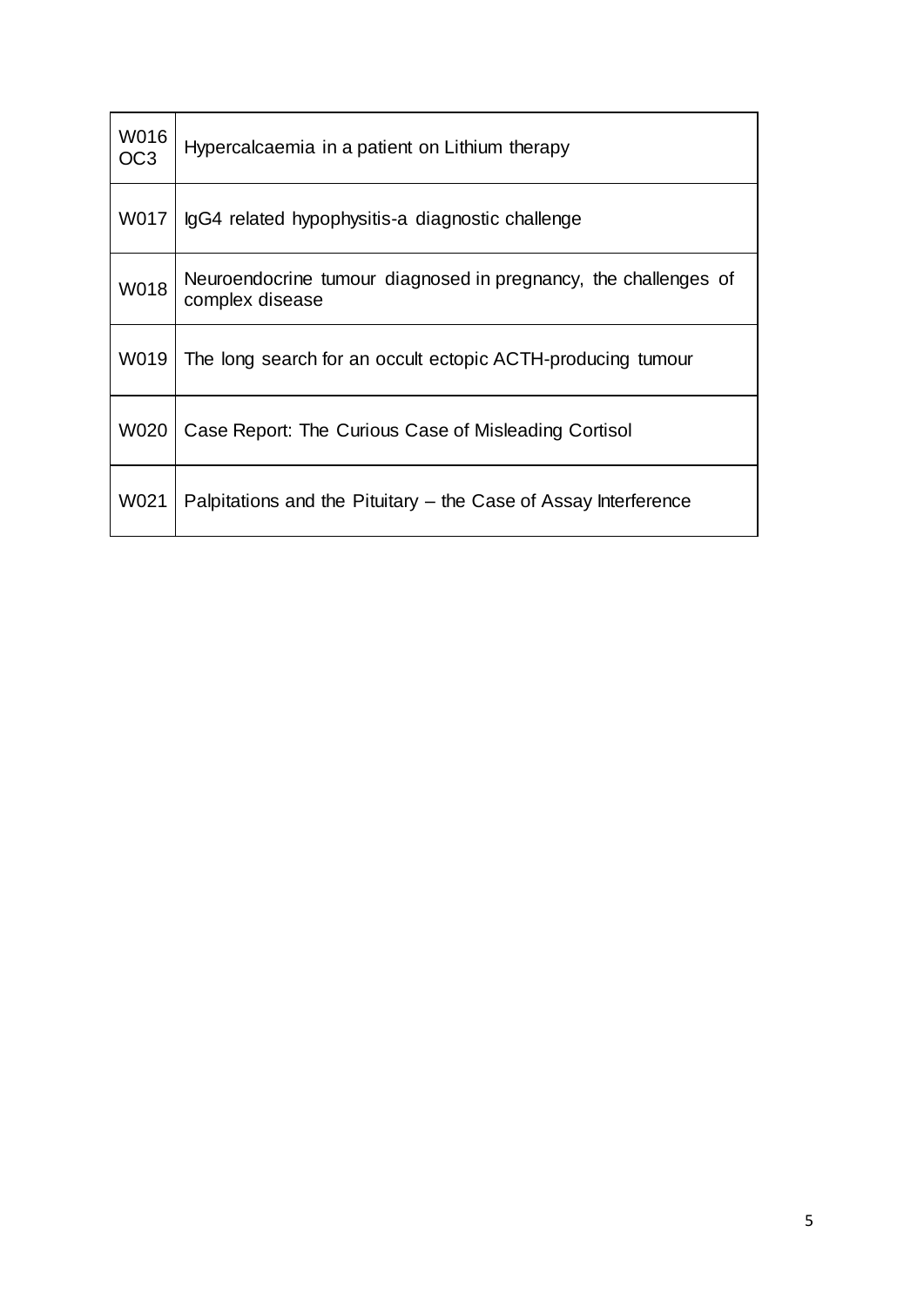| W016<br>OC <sub>3</sub> | Hypercalcaemia in a patient on Lithium therapy                                     |
|-------------------------|------------------------------------------------------------------------------------|
| W017                    | IgG4 related hypophysitis-a diagnostic challenge                                   |
| W018                    | Neuroendocrine tumour diagnosed in pregnancy, the challenges of<br>complex disease |
| W019                    | The long search for an occult ectopic ACTH-producing tumour                        |
| W020                    | Case Report: The Curious Case of Misleading Cortisol                               |
| W021                    | Palpitations and the Pituitary – the Case of Assay Interference                    |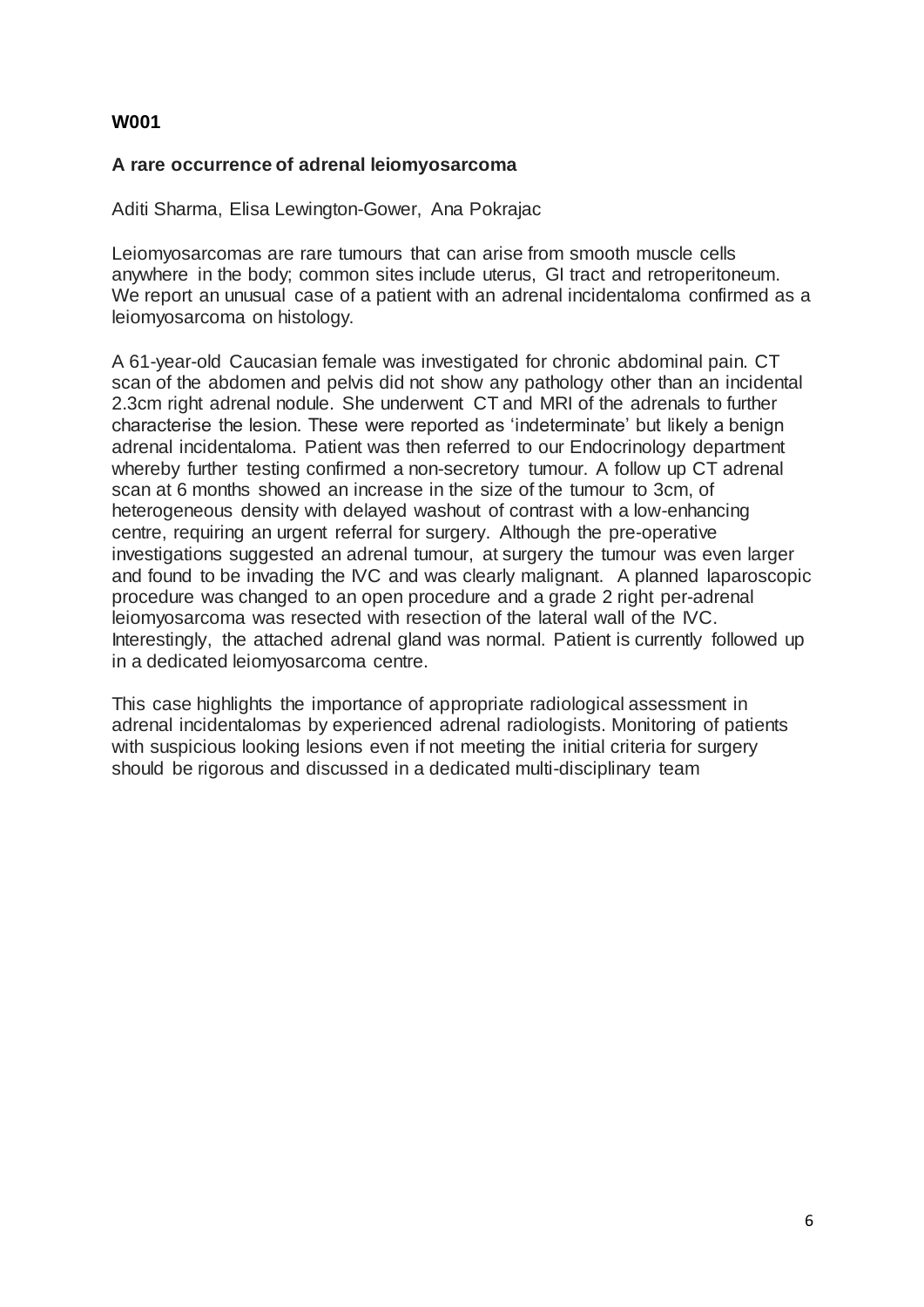#### **A rare occurrence of adrenal leiomyosarcoma**

Aditi Sharma, Elisa Lewington-Gower, Ana Pokrajac

Leiomyosarcomas are rare tumours that can arise from smooth muscle cells anywhere in the body; common sites include uterus, GI tract and retroperitoneum. We report an unusual case of a patient with an adrenal incidentaloma confirmed as a leiomyosarcoma on histology.

A 61-year-old Caucasian female was investigated for chronic abdominal pain. CT scan of the abdomen and pelvis did not show any pathology other than an incidental 2.3cm right adrenal nodule. She underwent CT and MRI of the adrenals to further characterise the lesion. These were reported as 'indeterminate' but likely a benign adrenal incidentaloma. Patient was then referred to our Endocrinology department whereby further testing confirmed a non-secretory tumour. A follow up CT adrenal scan at 6 months showed an increase in the size of the tumour to 3cm, of heterogeneous density with delayed washout of contrast with a low-enhancing centre, requiring an urgent referral for surgery. Although the pre-operative investigations suggested an adrenal tumour, at surgery the tumour was even larger and found to be invading the IVC and was clearly malignant. A planned laparoscopic procedure was changed to an open procedure and a grade 2 right per-adrenal leiomyosarcoma was resected with resection of the lateral wall of the IVC. Interestingly, the attached adrenal gland was normal. Patient is currently followed up in a dedicated leiomyosarcoma centre.

This case highlights the importance of appropriate radiological assessment in adrenal incidentalomas by experienced adrenal radiologists. Monitoring of patients with suspicious looking lesions even if not meeting the initial criteria for surgery should be rigorous and discussed in a dedicated multi-disciplinary team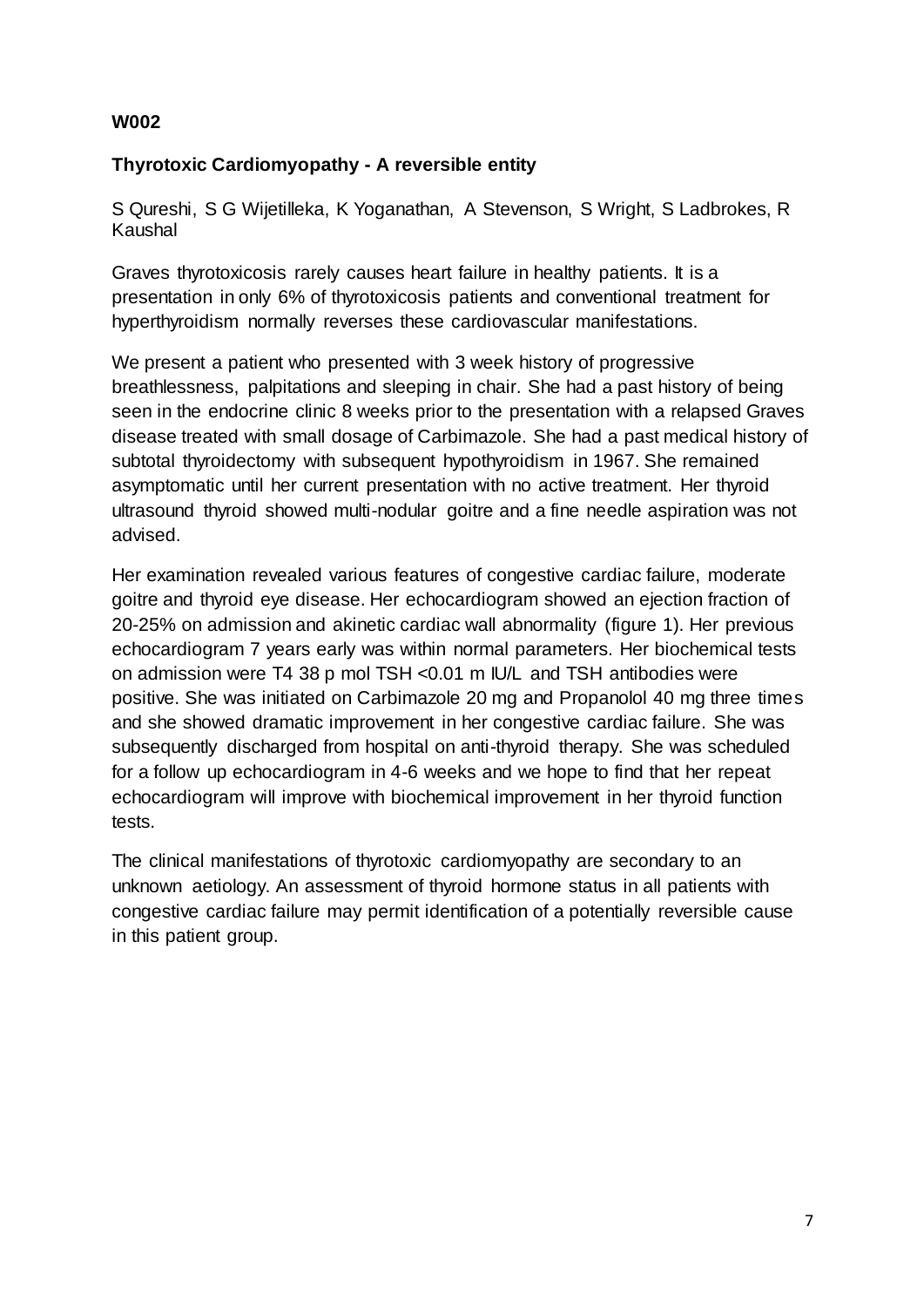#### **Thyrotoxic Cardiomyopathy - A reversible entity**

S Qureshi, S G Wijetilleka, K Yoganathan, A Stevenson, S Wright, S Ladbrokes, R Kaushal

Graves thyrotoxicosis rarely causes heart failure in healthy patients. It is a presentation in only 6% of thyrotoxicosis patients and conventional treatment for hyperthyroidism normally reverses these cardiovascular manifestations.

We present a patient who presented with 3 week history of progressive breathlessness, palpitations and sleeping in chair. She had a past history of being seen in the endocrine clinic 8 weeks prior to the presentation with a relapsed Graves disease treated with small dosage of Carbimazole. She had a past medical history of subtotal thyroidectomy with subsequent hypothyroidism in 1967. She remained asymptomatic until her current presentation with no active treatment. Her thyroid ultrasound thyroid showed multi-nodular goitre and a fine needle aspiration was not advised.

Her examination revealed various features of congestive cardiac failure, moderate goitre and thyroid eye disease. Her echocardiogram showed an ejection fraction of 20-25% on admission and akinetic cardiac wall abnormality (figure 1). Her previous echocardiogram 7 years early was within normal parameters. Her biochemical tests on admission were T4 38 p mol TSH <0.01 m IU/L and TSH antibodies were positive. She was initiated on Carbimazole 20 mg and Propanolol 40 mg three times and she showed dramatic improvement in her congestive cardiac failure. She was subsequently discharged from hospital on anti-thyroid therapy. She was scheduled for a follow up echocardiogram in 4-6 weeks and we hope to find that her repeat echocardiogram will improve with biochemical improvement in her thyroid function tests.

The clinical manifestations of thyrotoxic cardiomyopathy are secondary to an unknown aetiology. An assessment of thyroid hormone status in all patients with congestive cardiac failure may permit identification of a potentially reversible cause in this patient group.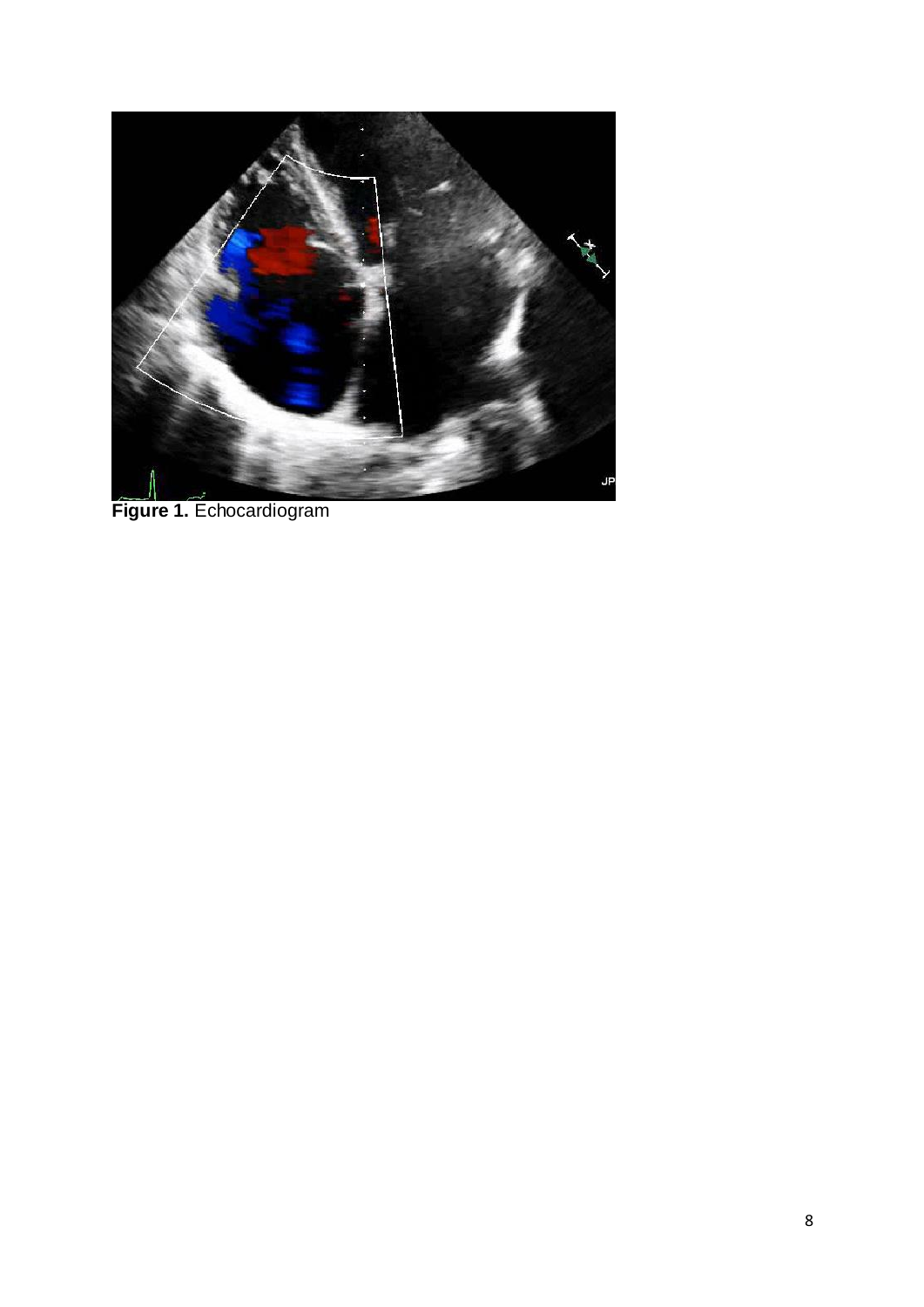

**Figure 1.** Echocardiogram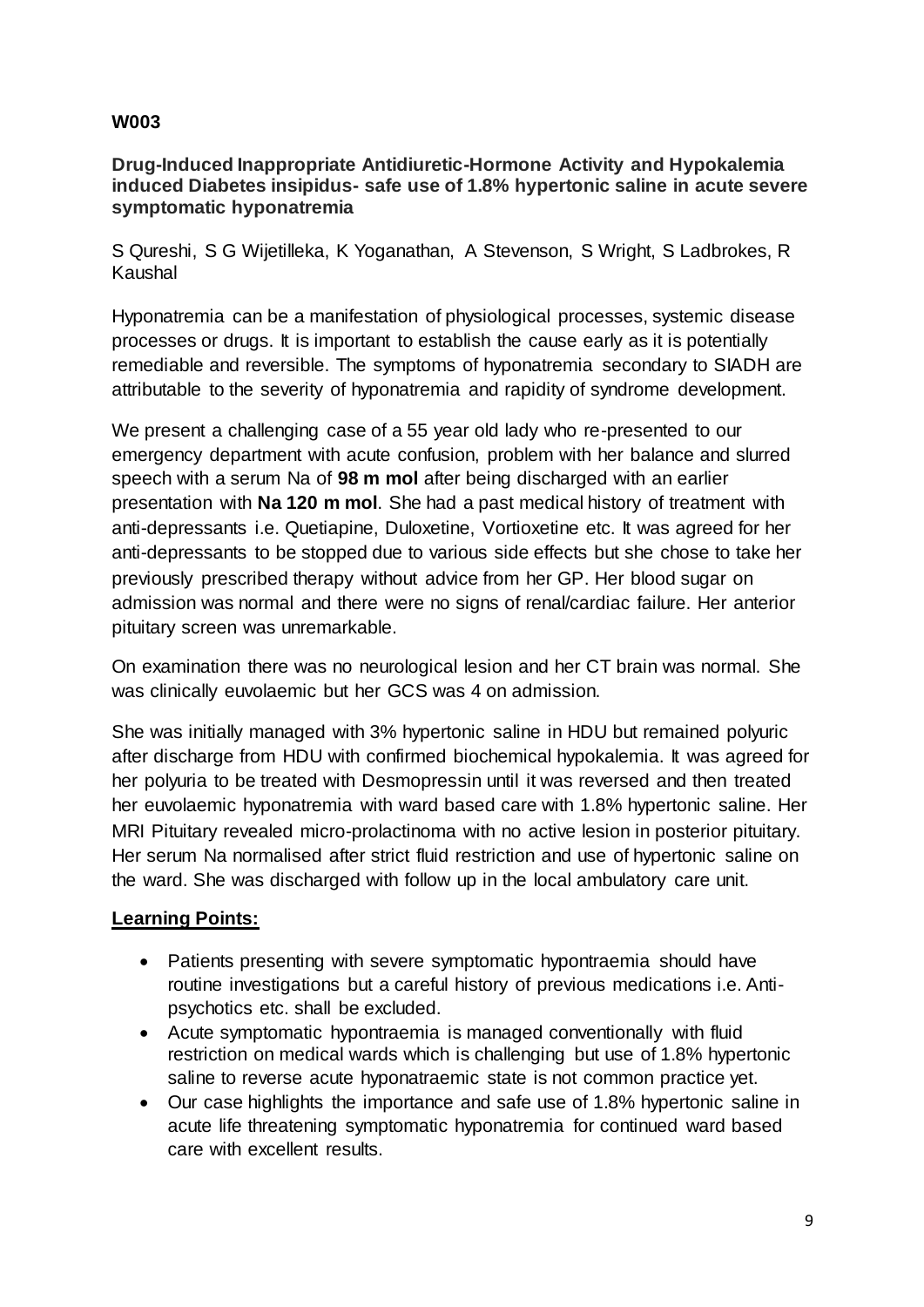#### **Drug-Induced Inappropriate Antidiuretic-Hormone Activity and Hypokalemia induced Diabetes insipidus- safe use of 1.8% hypertonic saline in acute severe symptomatic hyponatremia**

S Qureshi, S G Wijetilleka, K Yoganathan, A Stevenson, S Wright, S Ladbrokes, R Kaushal

Hyponatremia can be a manifestation of physiological processes, systemic disease processes or drugs. It is important to establish the cause early as it is potentially remediable and reversible. The symptoms of hyponatremia secondary to SIADH are attributable to the severity of hyponatremia and rapidity of syndrome development.

We present a challenging case of a 55 year old lady who re-presented to our emergency department with acute confusion, problem with her balance and slurred speech with a serum Na of **98 m mol** after being discharged with an earlier presentation with **Na 120 m mol**. She had a past medical history of treatment with anti-depressants i.e. Quetiapine, Duloxetine, Vortioxetine etc. It was agreed for her anti-depressants to be stopped due to various side effects but she chose to take her previously prescribed therapy without advice from her GP. Her blood sugar on admission was normal and there were no signs of renal/cardiac failure. Her anterior pituitary screen was unremarkable.

On examination there was no neurological lesion and her CT brain was normal. She was clinically euvolaemic but her GCS was 4 on admission.

She was initially managed with 3% hypertonic saline in HDU but remained polyuric after discharge from HDU with confirmed biochemical hypokalemia. It was agreed for her polyuria to be treated with Desmopressin until it was reversed and then treated her euvolaemic hyponatremia with ward based care with 1.8% hypertonic saline. Her MRI Pituitary revealed micro-prolactinoma with no active lesion in posterior pituitary. Her serum Na normalised after strict fluid restriction and use of hypertonic saline on the ward. She was discharged with follow up in the local ambulatory care unit.

#### **Learning Points:**

- Patients presenting with severe symptomatic hypontraemia should have routine investigations but a careful history of previous medications i.e. Antipsychotics etc. shall be excluded.
- Acute symptomatic hypontraemia is managed conventionally with fluid restriction on medical wards which is challenging but use of 1.8% hypertonic saline to reverse acute hyponatraemic state is not common practice yet.
- Our case highlights the importance and safe use of 1.8% hypertonic saline in acute life threatening symptomatic hyponatremia for continued ward based care with excellent results.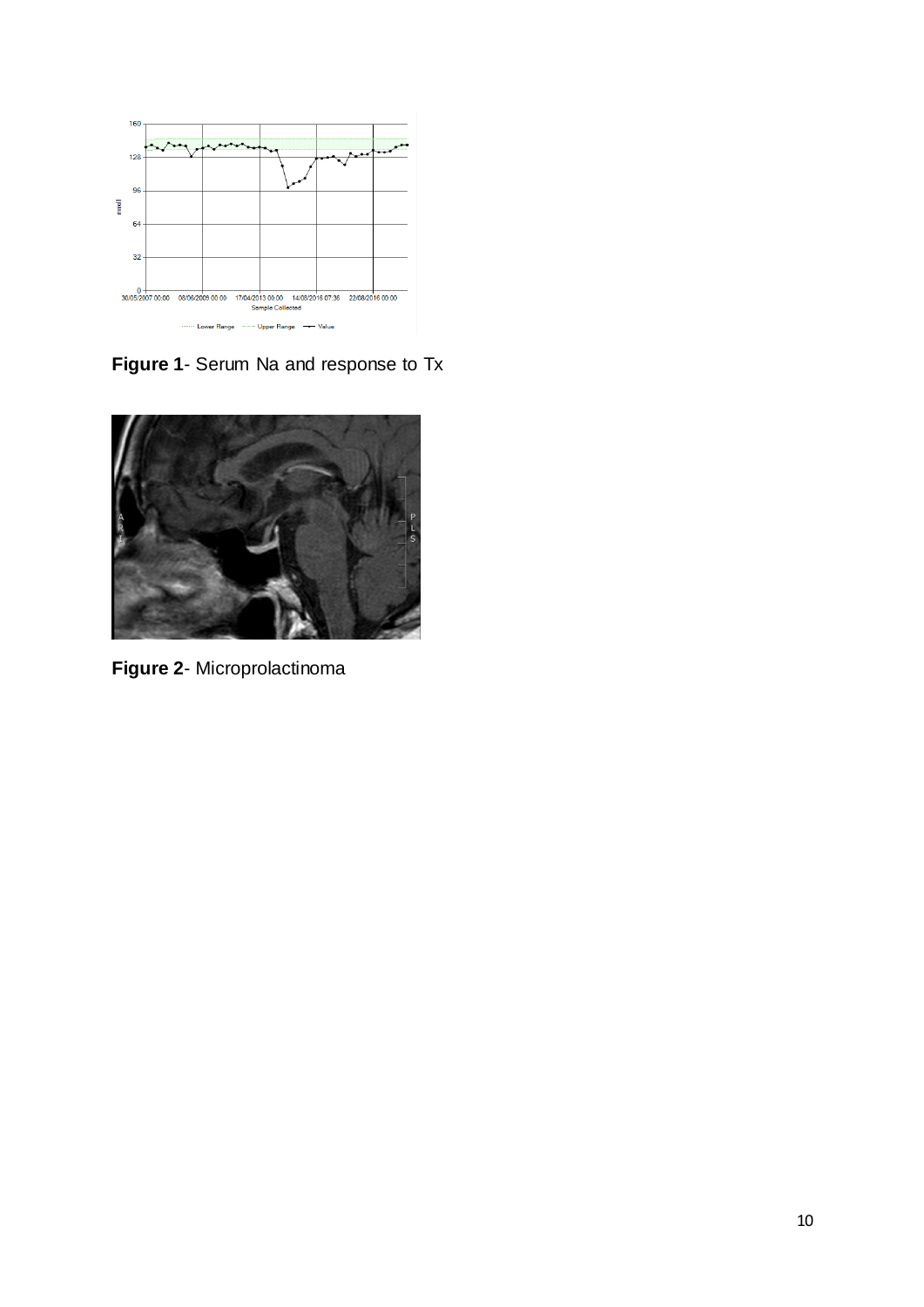

**Figure 1**- Serum Na and response to Tx



**Figure 2**- Microprolactinoma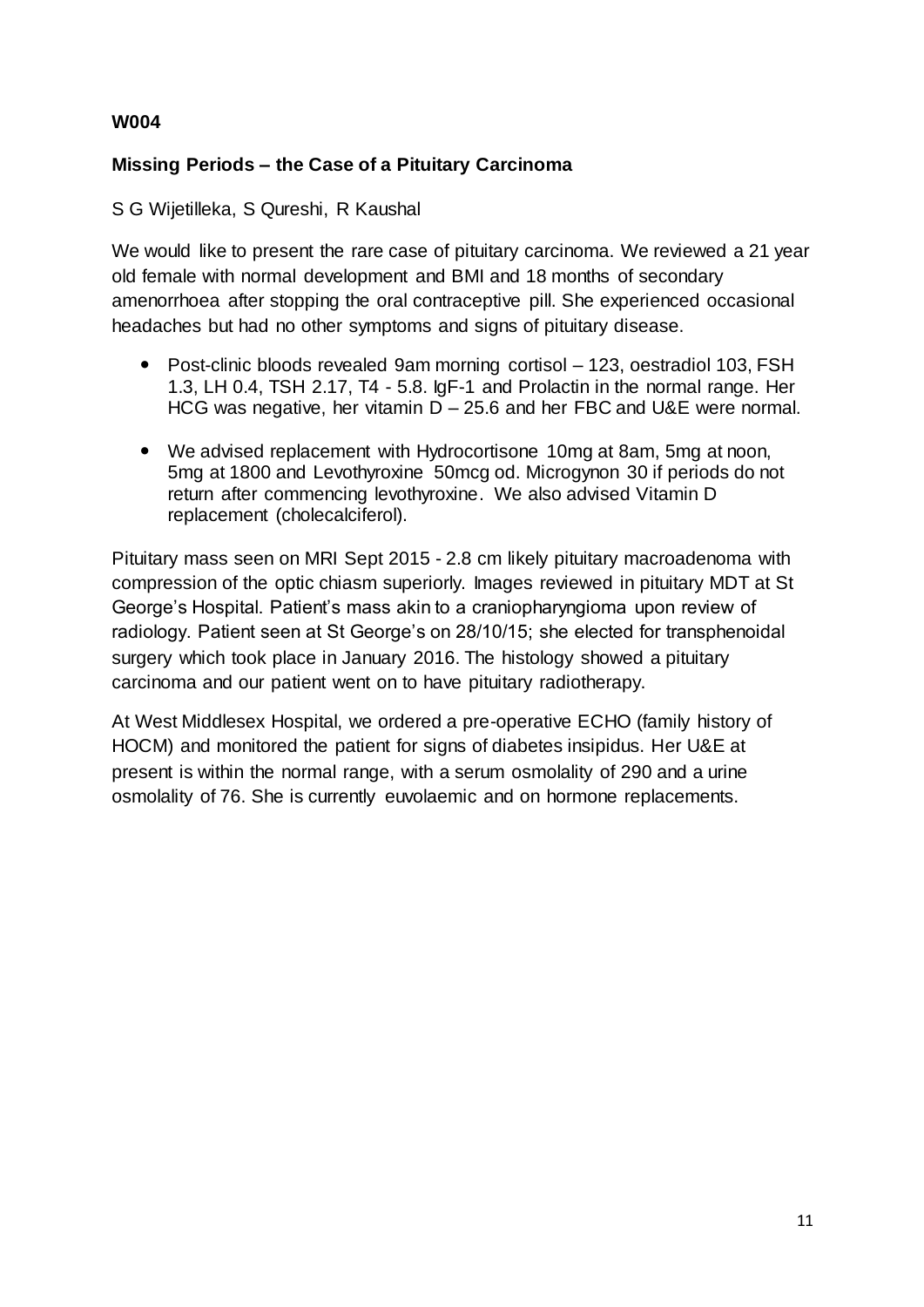#### **Missing Periods – the Case of a Pituitary Carcinoma**

S G Wijetilleka, S Qureshi, R Kaushal

We would like to present the rare case of pituitary carcinoma. We reviewed a 21 year old female with normal development and BMI and 18 months of secondary amenorrhoea after stopping the oral contraceptive pill. She experienced occasional headaches but had no other symptoms and signs of pituitary disease.

- Post-clinic bloods revealed 9am morning cortisol 123, oestradiol 103, FSH 1.3, LH 0.4, TSH 2.17, T4 - 5.8. IgF-1 and Prolactin in the normal range. Her HCG was negative, her vitamin D – 25.6 and her FBC and U&E were normal.
- We advised replacement with Hydrocortisone 10mg at 8am, 5mg at noon, 5mg at 1800 and Levothyroxine 50mcg od. Microgynon 30 if periods do not return after commencing levothyroxine. We also advised Vitamin D replacement (cholecalciferol).

Pituitary mass seen on MRI Sept 2015 - 2.8 cm likely pituitary macroadenoma with compression of the optic chiasm superiorly. Images reviewed in pituitary MDT at St George's Hospital. Patient's mass akin to a craniopharyngioma upon review of radiology. Patient seen at St George's on 28/10/15; she elected for transphenoidal surgery which took place in January 2016. The histology showed a pituitary carcinoma and our patient went on to have pituitary radiotherapy.

At West Middlesex Hospital, we ordered a pre-operative ECHO (family history of HOCM) and monitored the patient for signs of diabetes insipidus. Her U&E at present is within the normal range, with a serum osmolality of 290 and a urine osmolality of 76. She is currently euvolaemic and on hormone replacements.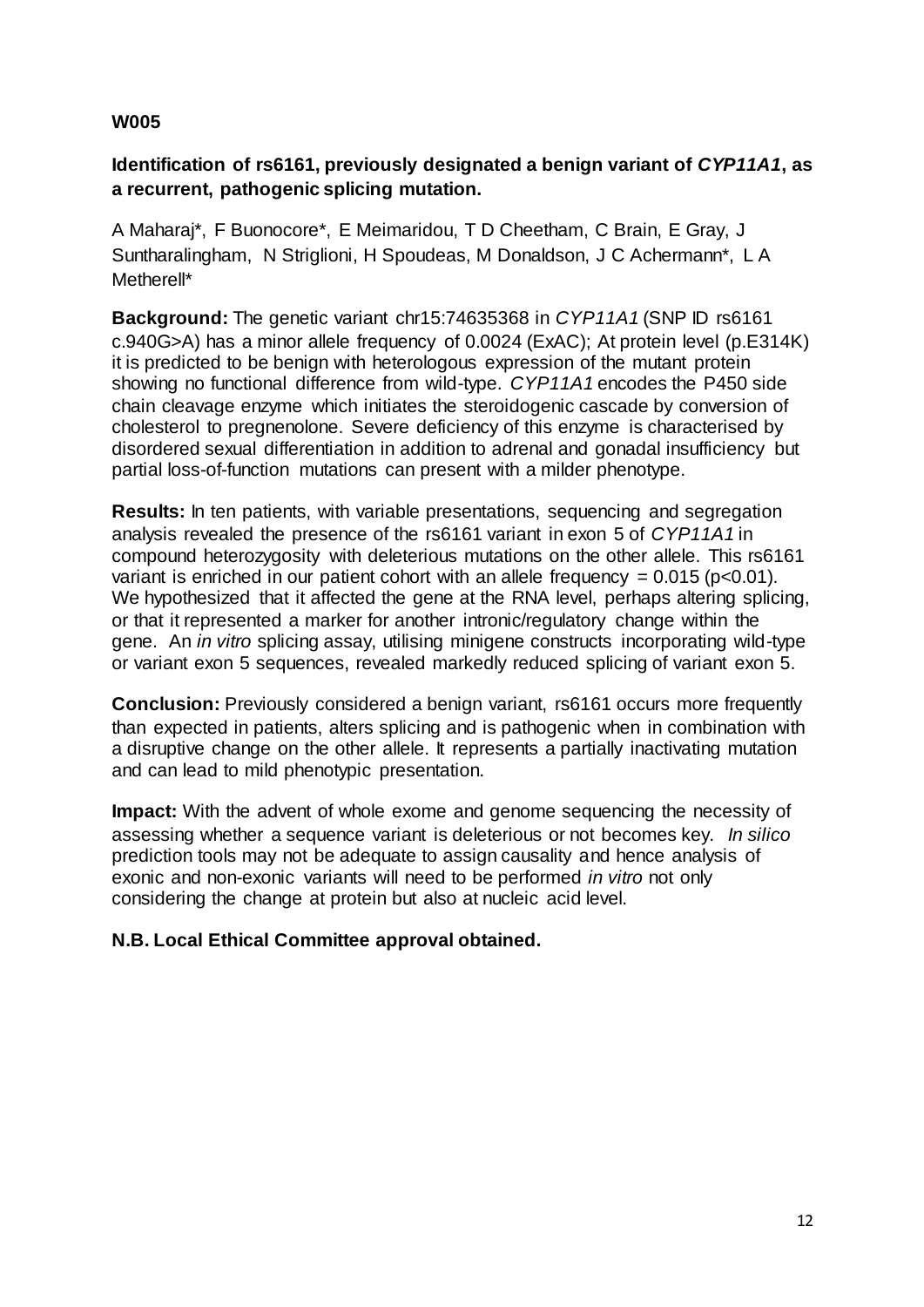#### **Identification of rs6161, previously designated a benign variant of** *CYP11A1***, as a recurrent, pathogenic splicing mutation.**

A Maharaj\*, F Buonocore\*, E Meimaridou, T D Cheetham, C Brain, E Gray, J Suntharalingham, N Striglioni, H Spoudeas, M Donaldson, J C Achermann\*, L A Metherell\*

**Background:** The genetic variant chr15:74635368 in *CYP11A1* (SNP ID rs6161 c.940G>A) has a minor allele frequency of 0.0024 (ExAC); At protein level (p.E314K) it is predicted to be benign with heterologous expression of the mutant protein showing no functional difference from wild-type. *CYP11A1* encodes the P450 side chain cleavage enzyme which initiates the steroidogenic cascade by conversion of cholesterol to pregnenolone. Severe deficiency of this enzyme is characterised by disordered sexual differentiation in addition to adrenal and gonadal insufficiency but partial loss-of-function mutations can present with a milder phenotype.

**Results:** In ten patients, with variable presentations, sequencing and segregation analysis revealed the presence of the rs6161 variant in exon 5 of *CYP11A1* in compound heterozygosity with deleterious mutations on the other allele. This rs6161 variant is enriched in our patient cohort with an allele frequency =  $0.015$  (p<0.01). We hypothesized that it affected the gene at the RNA level, perhaps altering splicing, or that it represented a marker for another intronic/regulatory change within the gene. An *in vitro* splicing assay, utilising minigene constructs incorporating wild-type or variant exon 5 sequences, revealed markedly reduced splicing of variant exon 5.

**Conclusion:** Previously considered a benign variant, rs6161 occurs more frequently than expected in patients, alters splicing and is pathogenic when in combination with a disruptive change on the other allele. It represents a partially inactivating mutation and can lead to mild phenotypic presentation.

**Impact:** With the advent of whole exome and genome sequencing the necessity of assessing whether a sequence variant is deleterious or not becomes key. *In silico*  prediction tools may not be adequate to assign causality and hence analysis of exonic and non-exonic variants will need to be performed *in vitro* not only considering the change at protein but also at nucleic acid level.

#### **N.B. Local Ethical Committee approval obtained.**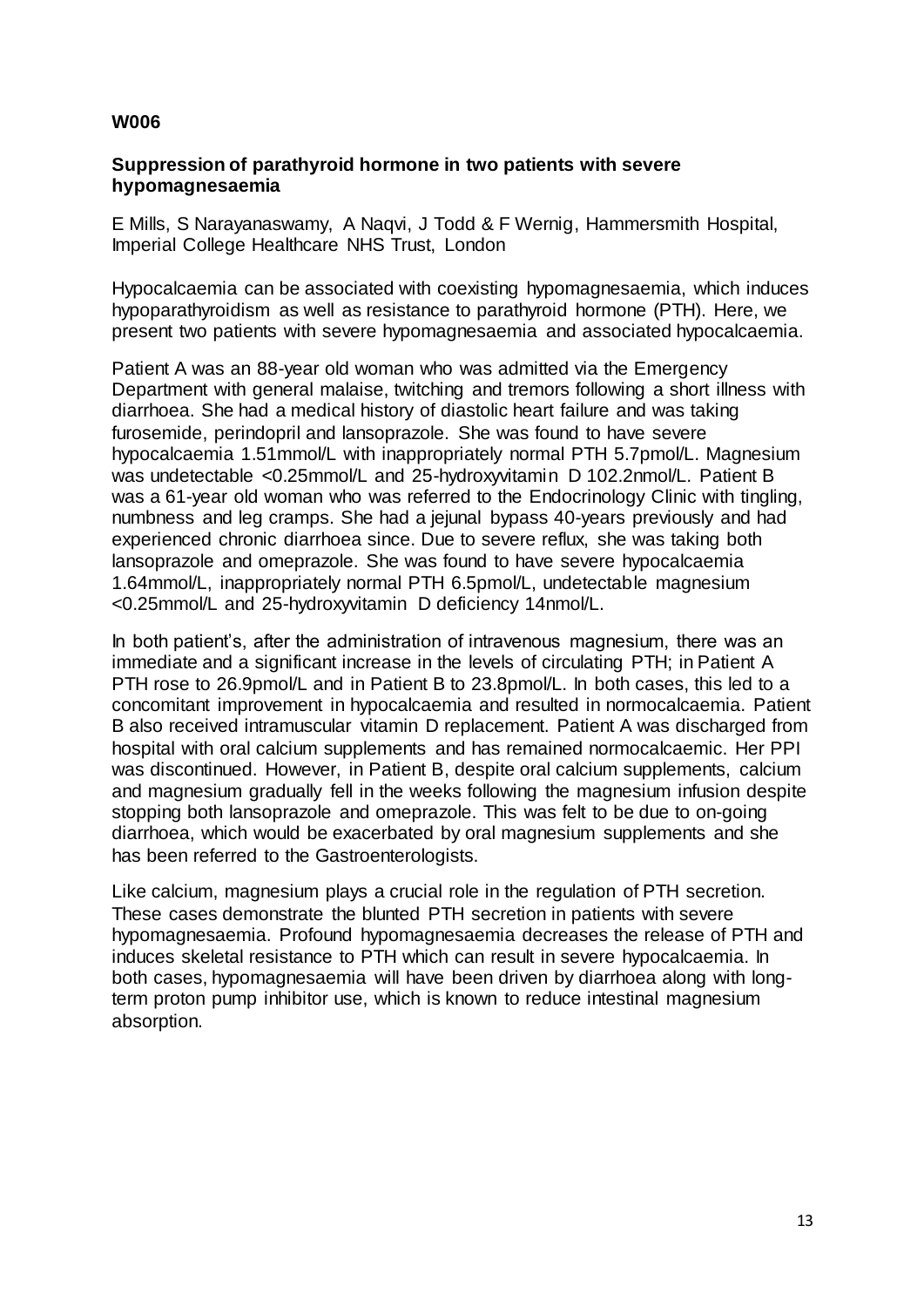#### **Suppression of parathyroid hormone in two patients with severe hypomagnesaemia**

E Mills, S Narayanaswamy, A Naqvi, J Todd & F Wernig, Hammersmith Hospital, Imperial College Healthcare NHS Trust, London

Hypocalcaemia can be associated with coexisting hypomagnesaemia, which induces hypoparathyroidism as well as resistance to parathyroid hormone (PTH). Here, we present two patients with severe hypomagnesaemia and associated hypocalcaemia.

Patient A was an 88-year old woman who was admitted via the Emergency Department with general malaise, twitching and tremors following a short illness with diarrhoea. She had a medical history of diastolic heart failure and was taking furosemide, perindopril and lansoprazole. She was found to have severe hypocalcaemia 1.51mmol/L with inappropriately normal PTH 5.7pmol/L. Magnesium was undetectable <0.25mmol/L and 25-hydroxyvitamin D 102.2nmol/L. Patient B was a 61-year old woman who was referred to the Endocrinology Clinic with tingling, numbness and leg cramps. She had a jejunal bypass 40-years previously and had experienced chronic diarrhoea since. Due to severe reflux, she was taking both lansoprazole and omeprazole. She was found to have severe hypocalcaemia 1.64mmol/L, inappropriately normal PTH 6.5pmol/L, undetectable magnesium <0.25mmol/L and 25-hydroxyvitamin D deficiency 14nmol/L.

In both patient's, after the administration of intravenous magnesium, there was an immediate and a significant increase in the levels of circulating PTH; in Patient A PTH rose to 26.9pmol/L and in Patient B to 23.8pmol/L. In both cases, this led to a concomitant improvement in hypocalcaemia and resulted in normocalcaemia. Patient B also received intramuscular vitamin D replacement. Patient A was discharged from hospital with oral calcium supplements and has remained normocalcaemic. Her PPI was discontinued. However, in Patient B, despite oral calcium supplements, calcium and magnesium gradually fell in the weeks following the magnesium infusion despite stopping both lansoprazole and omeprazole. This was felt to be due to on-going diarrhoea, which would be exacerbated by oral magnesium supplements and she has been referred to the Gastroenterologists.

Like calcium, magnesium plays a crucial role in the regulation of PTH secretion. These cases demonstrate the blunted PTH secretion in patients with severe hypomagnesaemia. Profound hypomagnesaemia decreases the release of PTH and induces skeletal resistance to PTH which can result in severe hypocalcaemia. In both cases, hypomagnesaemia will have been driven by diarrhoea along with longterm proton pump inhibitor use, which is known to reduce intestinal magnesium absorption.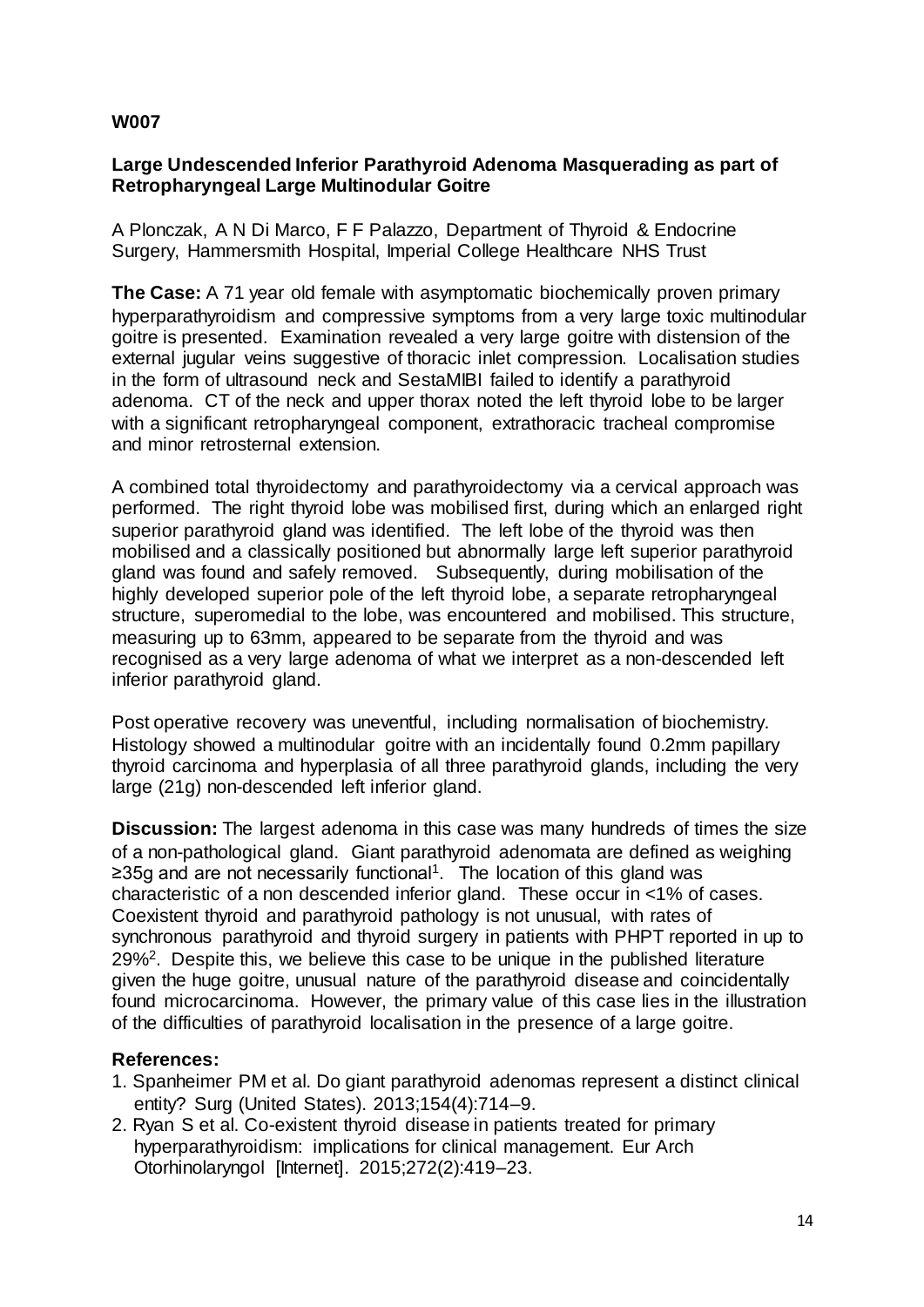#### **Large Undescended Inferior Parathyroid Adenoma Masquerading as part of Retropharyngeal Large Multinodular Goitre**

A Plonczak, A N Di Marco, F F Palazzo, Department of Thyroid & Endocrine Surgery, Hammersmith Hospital, Imperial College Healthcare NHS Trust

**The Case:** A 71 year old female with asymptomatic biochemically proven primary hyperparathyroidism and compressive symptoms from a very large toxic multinodular goitre is presented. Examination revealed a very large goitre with distension of the external jugular veins suggestive of thoracic inlet compression. Localisation studies in the form of ultrasound neck and SestaMIBI failed to identify a parathyroid adenoma. CT of the neck and upper thorax noted the left thyroid lobe to be larger with a significant retropharyngeal component, extrathoracic tracheal compromise and minor retrosternal extension.

A combined total thyroidectomy and parathyroidectomy via a cervical approach was performed. The right thyroid lobe was mobilised first, during which an enlarged right superior parathyroid gland was identified. The left lobe of the thyroid was then mobilised and a classically positioned but abnormally large left superior parathyroid gland was found and safely removed. Subsequently, during mobilisation of the highly developed superior pole of the left thyroid lobe, a separate retropharyngeal structure, superomedial to the lobe, was encountered and mobilised. This structure, measuring up to 63mm, appeared to be separate from the thyroid and was recognised as a very large adenoma of what we interpret as a non-descended left inferior parathyroid gland.

Post operative recovery was uneventful, including normalisation of biochemistry. Histology showed a multinodular goitre with an incidentally found 0.2mm papillary thyroid carcinoma and hyperplasia of all three parathyroid glands, including the very large (21g) non-descended left inferior gland.

**Discussion:** The largest adenoma in this case was many hundreds of times the size of a non-pathological gland. Giant parathyroid adenomata are defined as weighing ≥35g and are not necessarily functional<sup>1</sup>. The location of this gland was characteristic of a non descended inferior gland. These occur in <1% of cases. Coexistent thyroid and parathyroid pathology is not unusual, with rates of synchronous parathyroid and thyroid surgery in patients with PHPT reported in up to 29%<sup>2</sup>. Despite this, we believe this case to be unique in the published literature given the huge goitre, unusual nature of the parathyroid disease and coincidentally found microcarcinoma. However, the primary value of this case lies in the illustration of the difficulties of parathyroid localisation in the presence of a large goitre.

#### **References:**

- 1. Spanheimer PM et al. Do giant parathyroid adenomas represent a distinct clinical entity? Surg (United States). 2013;154(4):714–9.
- 2. Ryan S et al. Co-existent thyroid disease in patients treated for primary hyperparathyroidism: implications for clinical management. Eur Arch Otorhinolaryngol [Internet]. 2015;272(2):419–23.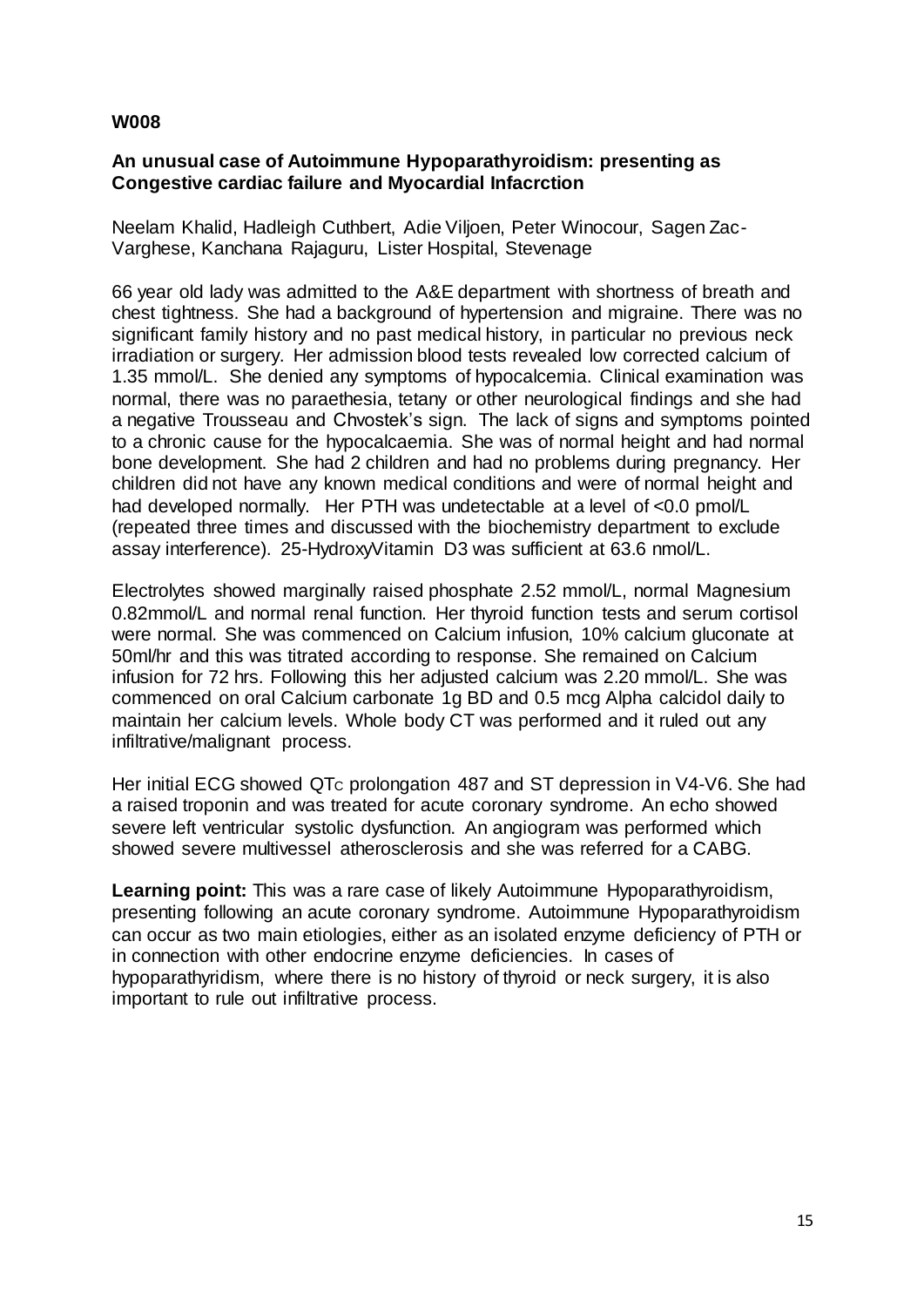#### **An unusual case of Autoimmune Hypoparathyroidism: presenting as Congestive cardiac failure and Myocardial Infacrction**

Neelam Khalid, Hadleigh Cuthbert, Adie Viljoen, Peter Winocour, Sagen Zac-Varghese, Kanchana Rajaguru, Lister Hospital, Stevenage

66 year old lady was admitted to the A&E department with shortness of breath and chest tightness. She had a background of hypertension and migraine. There was no significant family history and no past medical history, in particular no previous neck irradiation or surgery. Her admission blood tests revealed low corrected calcium of 1.35 mmol/L. She denied any symptoms of hypocalcemia. Clinical examination was normal, there was no paraethesia, tetany or other neurological findings and she had a negative Trousseau and Chvostek's sign. The lack of signs and symptoms pointed to a chronic cause for the hypocalcaemia. She was of normal height and had normal bone development. She had 2 children and had no problems during pregnancy. Her children did not have any known medical conditions and were of normal height and had developed normally. Her PTH was undetectable at a level of <0.0 pmol/L (repeated three times and discussed with the biochemistry department to exclude assay interference). 25-HydroxyVitamin D3 was sufficient at 63.6 nmol/L.

Electrolytes showed marginally raised phosphate 2.52 mmol/L, normal Magnesium 0.82mmol/L and normal renal function. Her thyroid function tests and serum cortisol were normal. She was commenced on Calcium infusion, 10% calcium gluconate at 50ml/hr and this was titrated according to response. She remained on Calcium infusion for 72 hrs. Following this her adjusted calcium was 2.20 mmol/L. She was commenced on oral Calcium carbonate 1g BD and 0.5 mcg Alpha calcidol daily to maintain her calcium levels. Whole body CT was performed and it ruled out any infiltrative/malignant process.

Her initial ECG showed QTc prolongation 487 and ST depression in V4-V6. She had a raised troponin and was treated for acute coronary syndrome. An echo showed severe left ventricular systolic dysfunction. An angiogram was performed which showed severe multivessel atherosclerosis and she was referred for a CABG.

**Learning point:** This was a rare case of likely Autoimmune Hypoparathyroidism, presenting following an acute coronary syndrome. Autoimmune Hypoparathyroidism can occur as two main etiologies, either as an isolated enzyme deficiency of PTH or in connection with other endocrine enzyme deficiencies. In cases of hypoparathyridism, where there is no history of thyroid or neck surgery, it is also important to rule out infiltrative process.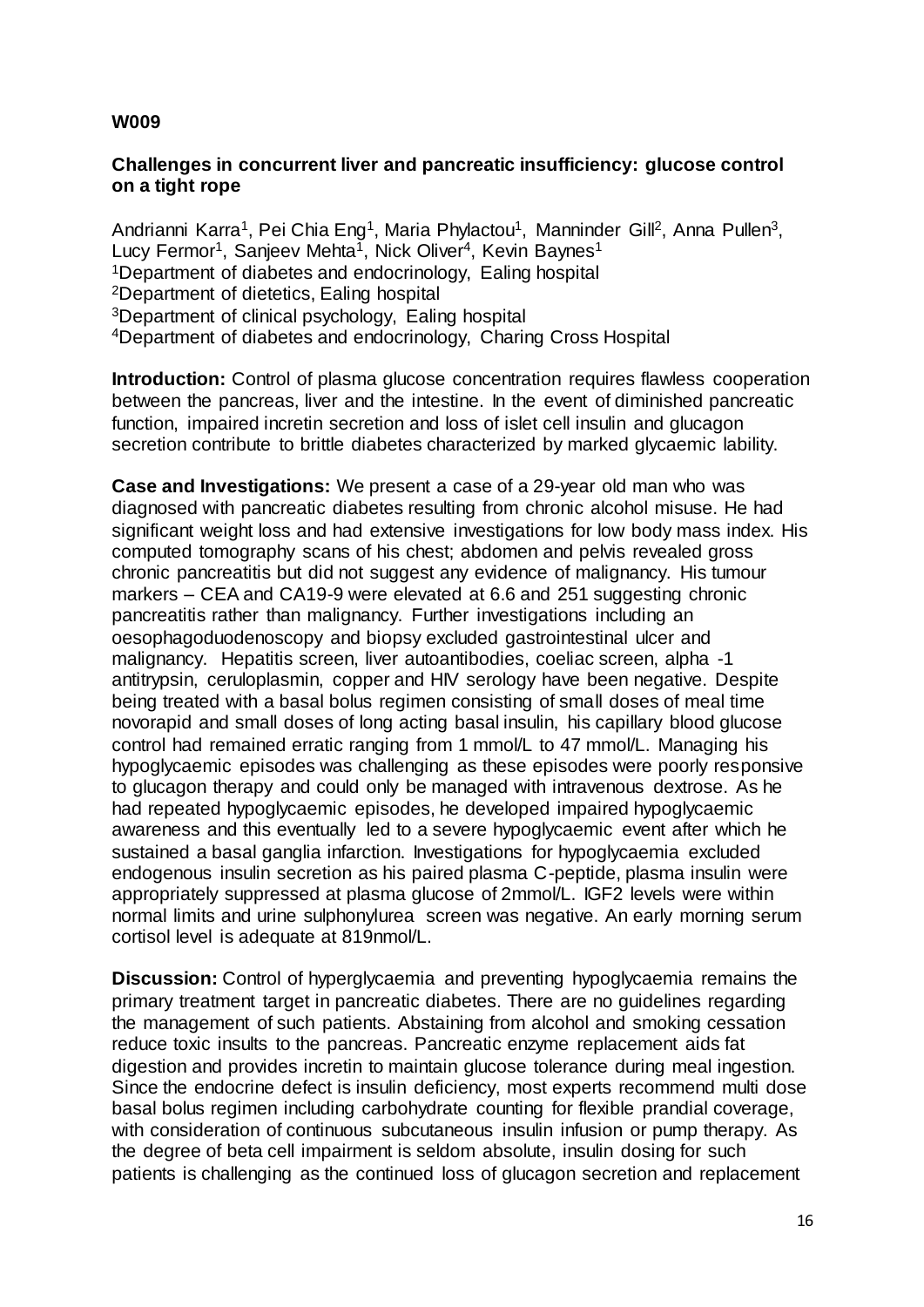#### **Challenges in concurrent liver and pancreatic insufficiency: glucose control on a tight rope**

Andrianni Karra<sup>1</sup>, Pei Chia Eng<sup>1</sup>, Maria Phylactou<sup>1</sup>, Manninder Gill<sup>2</sup>, Anna Pullen<sup>3</sup>, Lucy Fermor<sup>1</sup>, Sanjeev Mehta<sup>1</sup>, Nick Oliver<sup>4</sup>, Kevin Baynes<sup>1</sup> Department of diabetes and endocrinology, Ealing hospital Department of dietetics, Ealing hospital Department of clinical psychology, Ealing hospital Department of diabetes and endocrinology, Charing Cross Hospital

**Introduction:** Control of plasma glucose concentration requires flawless cooperation between the pancreas, liver and the intestine. In the event of diminished pancreatic function, impaired incretin secretion and loss of islet cell insulin and glucagon secretion contribute to brittle diabetes characterized by marked glycaemic lability.

**Case and Investigations:** We present a case of a 29-year old man who was diagnosed with pancreatic diabetes resulting from chronic alcohol misuse. He had significant weight loss and had extensive investigations for low body mass index. His computed tomography scans of his chest; abdomen and pelvis revealed gross chronic pancreatitis but did not suggest any evidence of malignancy. His tumour markers – CEA and CA19-9 were elevated at 6.6 and 251 suggesting chronic pancreatitis rather than malignancy. Further investigations including an oesophagoduodenoscopy and biopsy excluded gastrointestinal ulcer and malignancy. Hepatitis screen, liver autoantibodies, coeliac screen, alpha -1 antitrypsin, ceruloplasmin, copper and HIV serology have been negative. Despite being treated with a basal bolus regimen consisting of small doses of meal time novorapid and small doses of long acting basal insulin, his capillary blood glucose control had remained erratic ranging from 1 mmol/L to 47 mmol/L. Managing his hypoglycaemic episodes was challenging as these episodes were poorly responsive to glucagon therapy and could only be managed with intravenous dextrose. As he had repeated hypoglycaemic episodes, he developed impaired hypoglycaemic awareness and this eventually led to a severe hypoglycaemic event after which he sustained a basal ganglia infarction. Investigations for hypoglycaemia excluded endogenous insulin secretion as his paired plasma C-peptide, plasma insulin were appropriately suppressed at plasma glucose of 2mmol/L. IGF2 levels were within normal limits and urine sulphonylurea screen was negative. An early morning serum cortisol level is adequate at 819nmol/L.

**Discussion:** Control of hyperglycaemia and preventing hypoglycaemia remains the primary treatment target in pancreatic diabetes. There are no guidelines regarding the management of such patients. Abstaining from alcohol and smoking cessation reduce toxic insults to the pancreas. Pancreatic enzyme replacement aids fat digestion and provides incretin to maintain glucose tolerance during meal ingestion. Since the endocrine defect is insulin deficiency, most experts recommend multi dose basal bolus regimen including carbohydrate counting for flexible prandial coverage, with consideration of continuous subcutaneous insulin infusion or pump therapy. As the degree of beta cell impairment is seldom absolute, insulin dosing for such patients is challenging as the continued loss of glucagon secretion and replacement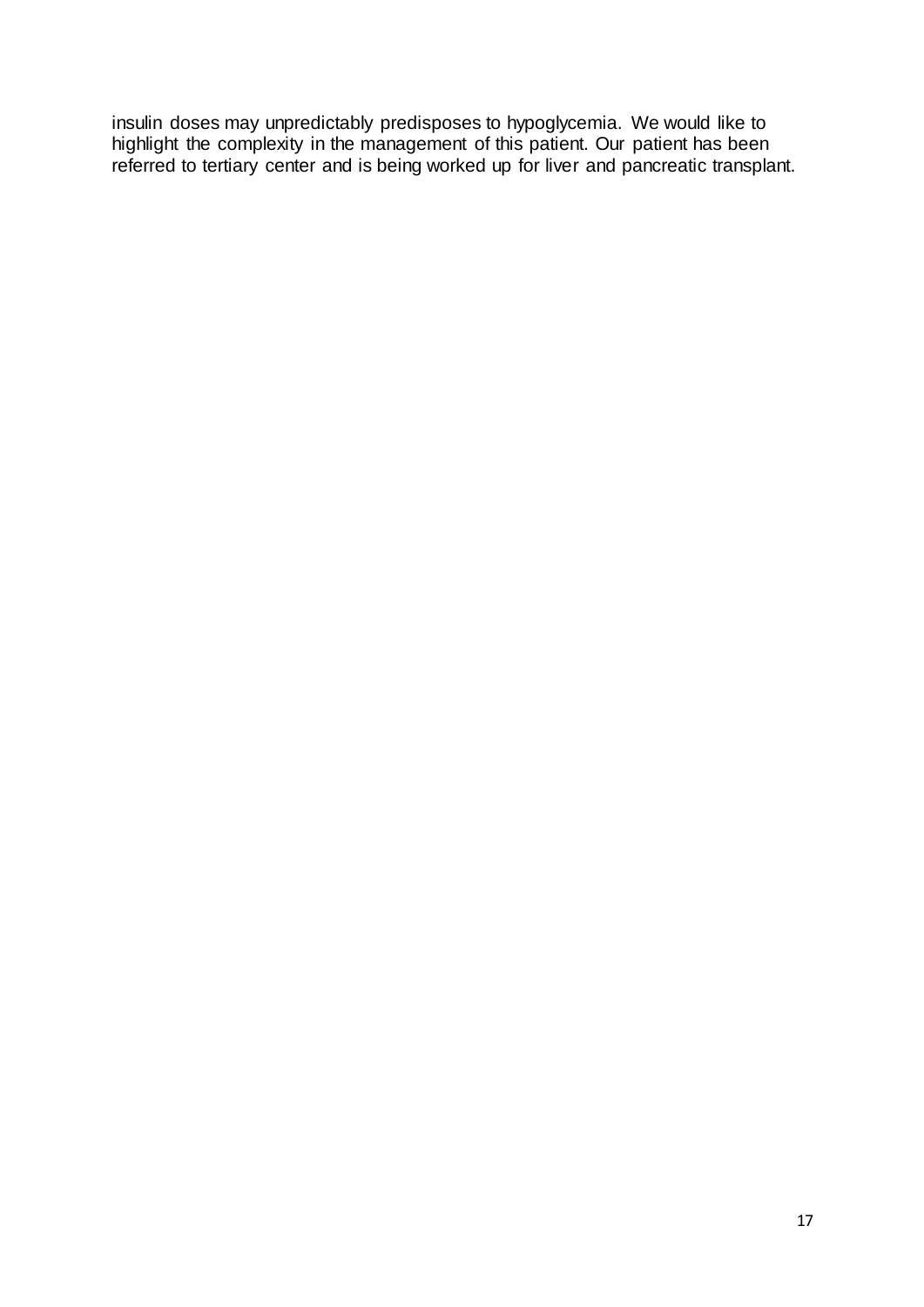insulin doses may unpredictably predisposes to hypoglycemia. We would like to highlight the complexity in the management of this patient. Our patient has been referred to tertiary center and is being worked up for liver and pancreatic transplant.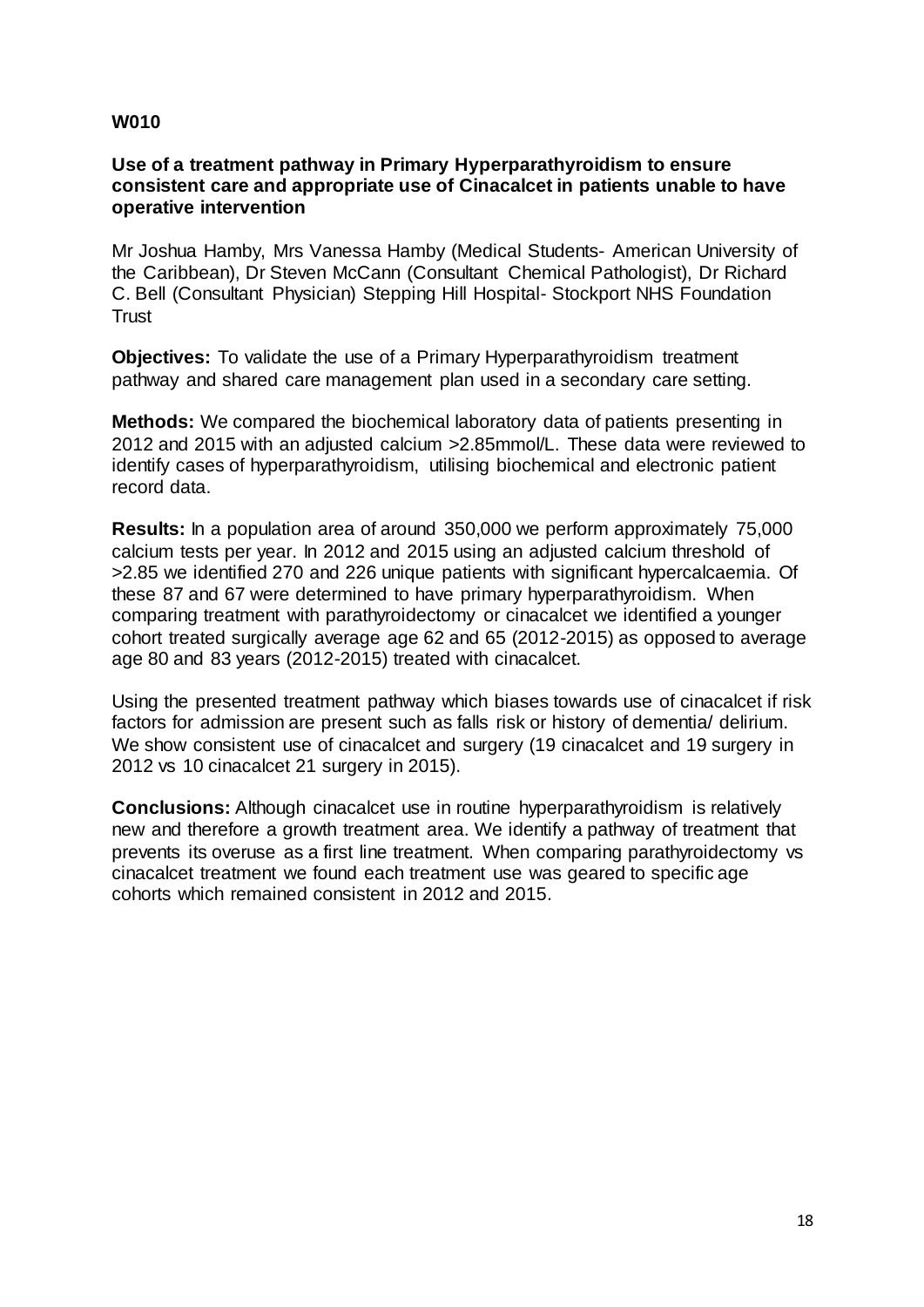#### **Use of a treatment pathway in Primary Hyperparathyroidism to ensure consistent care and appropriate use of Cinacalcet in patients unable to have operative intervention**

Mr Joshua Hamby, Mrs Vanessa Hamby (Medical Students- American University of the Caribbean), Dr Steven McCann (Consultant Chemical Pathologist), Dr Richard C. Bell (Consultant Physician) Stepping Hill Hospital- Stockport NHS Foundation **Trust** 

**Objectives:** To validate the use of a Primary Hyperparathyroidism treatment pathway and shared care management plan used in a secondary care setting.

**Methods:** We compared the biochemical laboratory data of patients presenting in 2012 and 2015 with an adjusted calcium >2.85mmol/L. These data were reviewed to identify cases of hyperparathyroidism, utilising biochemical and electronic patient record data.

**Results:** In a population area of around 350,000 we perform approximately 75,000 calcium tests per year. In 2012 and 2015 using an adjusted calcium threshold of >2.85 we identified 270 and 226 unique patients with significant hypercalcaemia. Of these 87 and 67 were determined to have primary hyperparathyroidism. When comparing treatment with parathyroidectomy or cinacalcet we identified a younger cohort treated surgically average age 62 and 65 (2012-2015) as opposed to average age 80 and 83 years (2012-2015) treated with cinacalcet.

Using the presented treatment pathway which biases towards use of cinacalcet if risk factors for admission are present such as falls risk or history of dementia/ delirium. We show consistent use of cinacalcet and surgery (19 cinacalcet and 19 surgery in 2012 vs 10 cinacalcet 21 surgery in 2015).

**Conclusions:** Although cinacalcet use in routine hyperparathyroidism is relatively new and therefore a growth treatment area. We identify a pathway of treatment that prevents its overuse as a first line treatment. When comparing parathyroidectomy vs cinacalcet treatment we found each treatment use was geared to specific age cohorts which remained consistent in 2012 and 2015.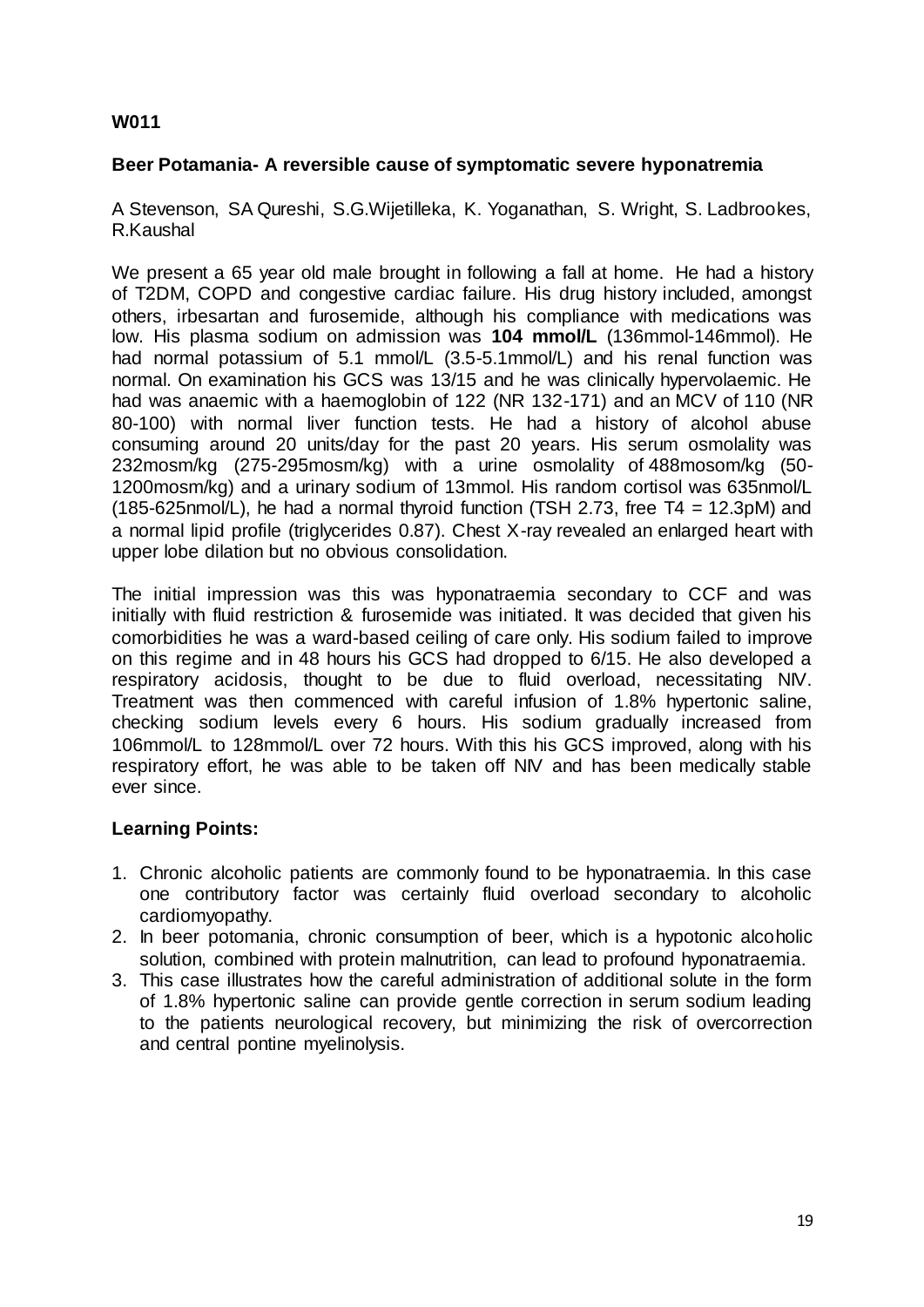#### **Beer Potamania- A reversible cause of symptomatic severe hyponatremia**

A Stevenson, SA Qureshi, S.G.Wijetilleka, K. Yoganathan, S. Wright, S. Ladbrookes, R.Kaushal

We present a 65 year old male brought in following a fall at home. He had a history of T2DM, COPD and congestive cardiac failure. His drug history included, amongst others, irbesartan and furosemide, although his compliance with medications was low. His plasma sodium on admission was **104 mmol/L** (136mmol-146mmol). He had normal potassium of 5.1 mmol/L (3.5-5.1mmol/L) and his renal function was normal. On examination his GCS was 13/15 and he was clinically hypervolaemic. He had was anaemic with a haemoglobin of 122 (NR 132-171) and an MCV of 110 (NR 80-100) with normal liver function tests. He had a history of alcohol abuse consuming around 20 units/day for the past 20 years. His serum osmolality was 232mosm/kg (275-295mosm/kg) with a urine osmolality of 488mosom/kg (50- 1200mosm/kg) and a urinary sodium of 13mmol. His random cortisol was 635nmol/L (185-625nmol/L), he had a normal thyroid function (TSH 2.73, free  $T4 = 12.3$ pM) and a normal lipid profile (triglycerides 0.87). Chest X-ray revealed an enlarged heart with upper lobe dilation but no obvious consolidation.

The initial impression was this was hyponatraemia secondary to CCF and was initially with fluid restriction & furosemide was initiated. It was decided that given his comorbidities he was a ward-based ceiling of care only. His sodium failed to improve on this regime and in 48 hours his GCS had dropped to 6/15. He also developed a respiratory acidosis, thought to be due to fluid overload, necessitating NIV. Treatment was then commenced with careful infusion of 1.8% hypertonic saline, checking sodium levels every 6 hours. His sodium gradually increased from 106mmol/L to 128mmol/L over 72 hours. With this his GCS improved, along with his respiratory effort, he was able to be taken off NIV and has been medically stable ever since.

#### **Learning Points:**

- 1. Chronic alcoholic patients are commonly found to be hyponatraemia. In this case one contributory factor was certainly fluid overload secondary to alcoholic cardiomyopathy.
- 2. In beer potomania, chronic consumption of beer, which is a hypotonic alcoholic solution, combined with protein malnutrition, can lead to profound hyponatraemia.
- 3. This case illustrates how the careful administration of additional solute in the form of 1.8% hypertonic saline can provide gentle correction in serum sodium leading to the patients neurological recovery, but minimizing the risk of overcorrection and central pontine myelinolysis.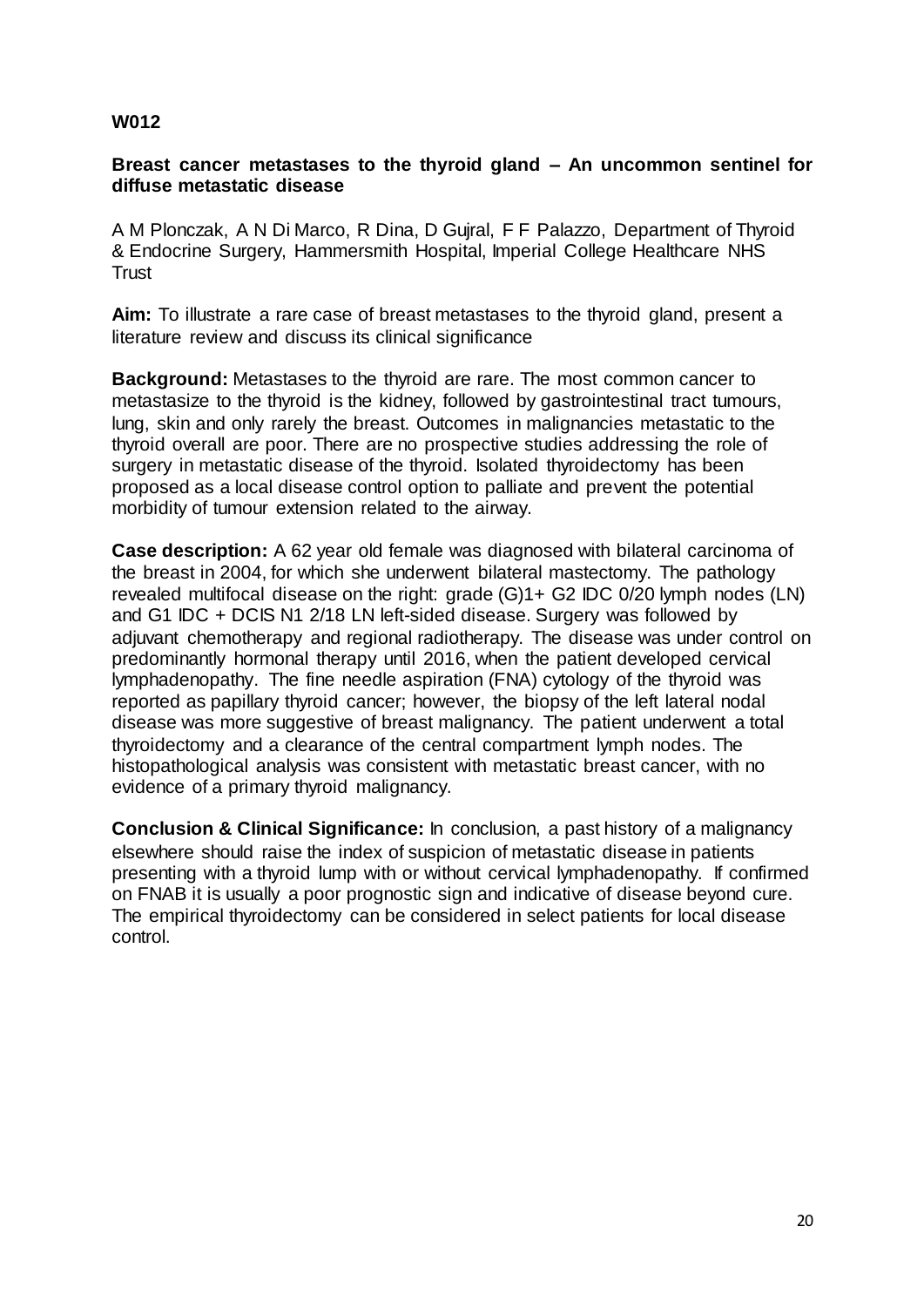#### **Breast cancer metastases to the thyroid gland – An uncommon sentinel for diffuse metastatic disease**

A M Plonczak, A N Di Marco, R Dina, D Gujral, F F Palazzo, Department of Thyroid & Endocrine Surgery, Hammersmith Hospital, Imperial College Healthcare NHS **Trust** 

**Aim:** To illustrate a rare case of breast metastases to the thyroid gland, present a literature review and discuss its clinical significance

**Background:** Metastases to the thyroid are rare. The most common cancer to metastasize to the thyroid is the kidney, followed by gastrointestinal tract tumours, lung, skin and only rarely the breast. Outcomes in malignancies metastatic to the thyroid overall are poor. There are no prospective studies addressing the role of surgery in metastatic disease of the thyroid. Isolated thyroidectomy has been proposed as a local disease control option to palliate and prevent the potential morbidity of tumour extension related to the airway.

**Case description:** A 62 year old female was diagnosed with bilateral carcinoma of the breast in 2004, for which she underwent bilateral mastectomy. The pathology revealed multifocal disease on the right: grade (G)1+ G2 IDC 0/20 lymph nodes (LN) and G1 IDC + DCIS N1 2/18 LN left-sided disease. Surgery was followed by adjuvant chemotherapy and regional radiotherapy. The disease was under control on predominantly hormonal therapy until 2016, when the patient developed cervical lymphadenopathy. The fine needle aspiration (FNA) cytology of the thyroid was reported as papillary thyroid cancer; however, the biopsy of the left lateral nodal disease was more suggestive of breast malignancy. The patient underwent a total thyroidectomy and a clearance of the central compartment lymph nodes. The histopathological analysis was consistent with metastatic breast cancer, with no evidence of a primary thyroid malignancy.

**Conclusion & Clinical Significance:** In conclusion, a past history of a malignancy elsewhere should raise the index of suspicion of metastatic disease in patients presenting with a thyroid lump with or without cervical lymphadenopathy. If confirmed on FNAB it is usually a poor prognostic sign and indicative of disease beyond cure. The empirical thyroidectomy can be considered in select patients for local disease control.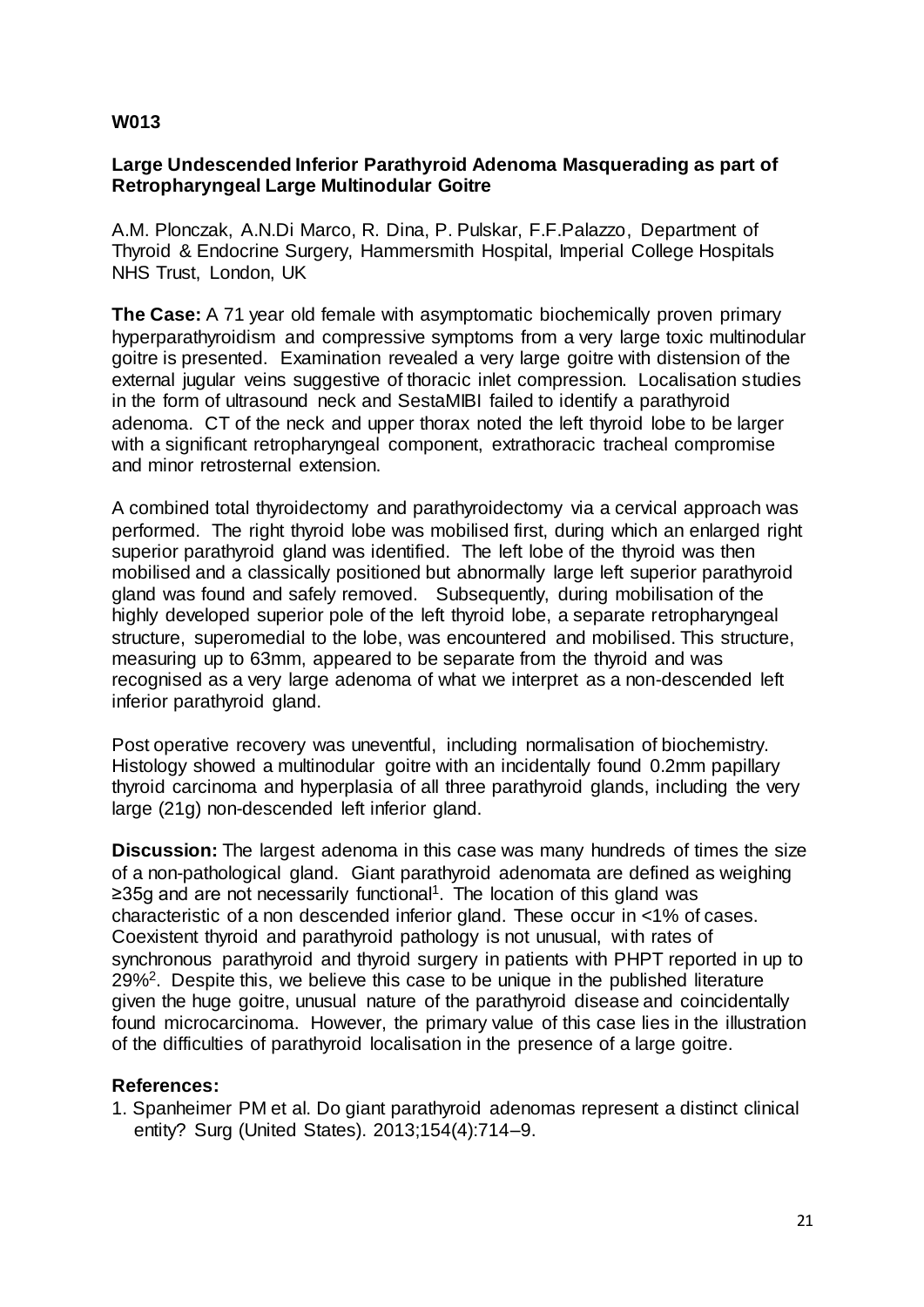#### **Large Undescended Inferior Parathyroid Adenoma Masquerading as part of Retropharyngeal Large Multinodular Goitre**

A.M. Plonczak, A.N.Di Marco, R. Dina, P. Pulskar, F.F.Palazzo, Department of Thyroid & Endocrine Surgery, Hammersmith Hospital, Imperial College Hospitals NHS Trust, London, UK

**The Case:** A 71 year old female with asymptomatic biochemically proven primary hyperparathyroidism and compressive symptoms from a very large toxic multinodular goitre is presented. Examination revealed a very large goitre with distension of the external jugular veins suggestive of thoracic inlet compression. Localisation studies in the form of ultrasound neck and SestaMIBI failed to identify a parathyroid adenoma. CT of the neck and upper thorax noted the left thyroid lobe to be larger with a significant retropharyngeal component, extrathoracic tracheal compromise and minor retrosternal extension.

A combined total thyroidectomy and parathyroidectomy via a cervical approach was performed. The right thyroid lobe was mobilised first, during which an enlarged right superior parathyroid gland was identified. The left lobe of the thyroid was then mobilised and a classically positioned but abnormally large left superior parathyroid gland was found and safely removed. Subsequently, during mobilisation of the highly developed superior pole of the left thyroid lobe, a separate retropharyngeal structure, superomedial to the lobe, was encountered and mobilised. This structure, measuring up to 63mm, appeared to be separate from the thyroid and was recognised as a very large adenoma of what we interpret as a non-descended left inferior parathyroid gland.

Post operative recovery was uneventful, including normalisation of biochemistry. Histology showed a multinodular goitre with an incidentally found 0.2mm papillary thyroid carcinoma and hyperplasia of all three parathyroid glands, including the very large (21g) non-descended left inferior gland.

**Discussion:** The largest adenoma in this case was many hundreds of times the size of a non-pathological gland. Giant parathyroid adenomata are defined as weighing ≥35g and are not necessarily functional<sup>1</sup>. The location of this gland was characteristic of a non descended inferior gland. These occur in <1% of cases. Coexistent thyroid and parathyroid pathology is not unusual, with rates of synchronous parathyroid and thyroid surgery in patients with PHPT reported in up to 29%<sup>2</sup>. Despite this, we believe this case to be unique in the published literature given the huge goitre, unusual nature of the parathyroid disease and coincidentally found microcarcinoma. However, the primary value of this case lies in the illustration of the difficulties of parathyroid localisation in the presence of a large goitre.

#### **References:**

1. Spanheimer PM et al. Do giant parathyroid adenomas represent a distinct clinical entity? Surg (United States). 2013;154(4):714–9.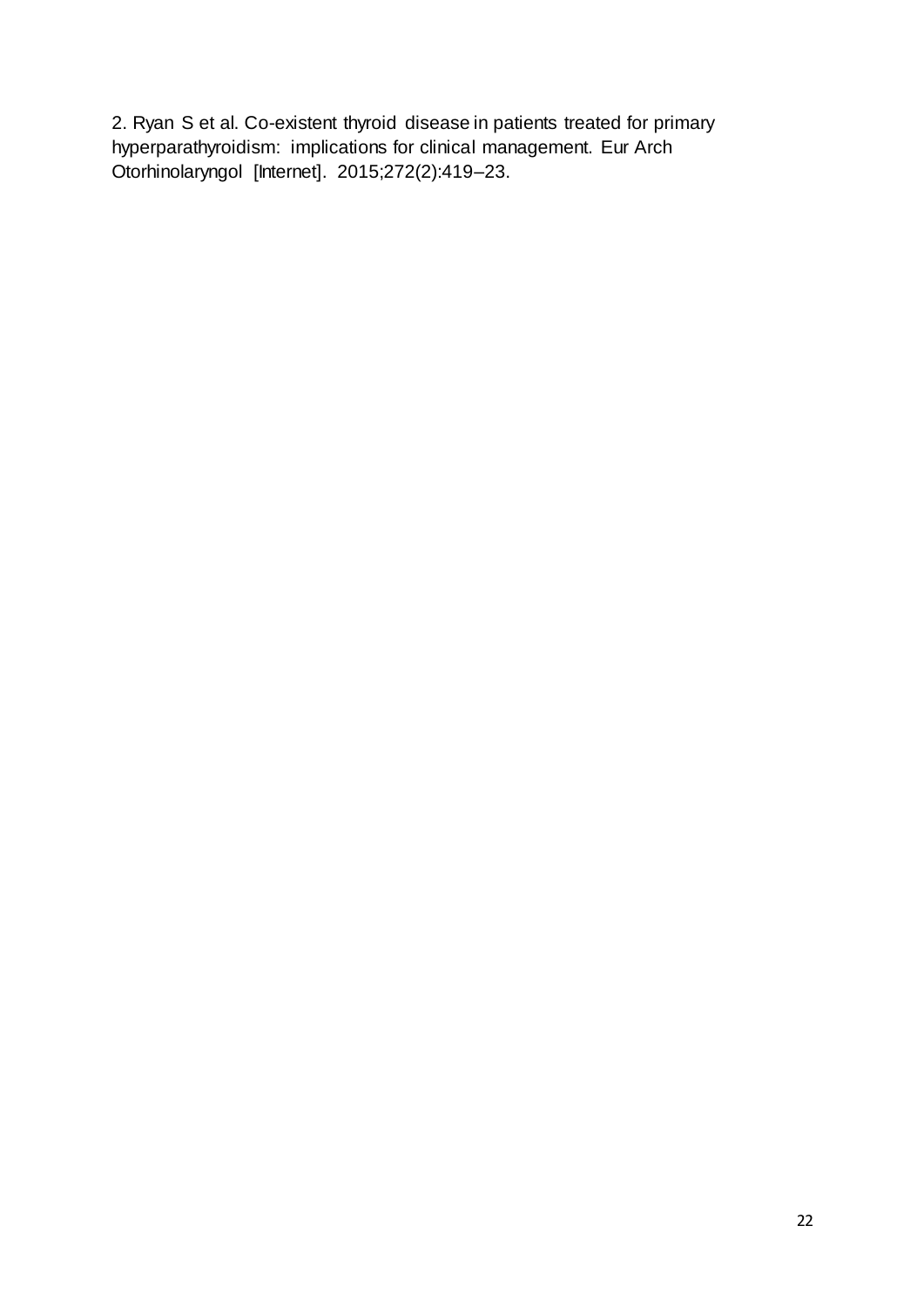2. Ryan S et al. Co-existent thyroid disease in patients treated for primary hyperparathyroidism: implications for clinical management. Eur Arch Otorhinolaryngol [Internet]. 2015;272(2):419–23.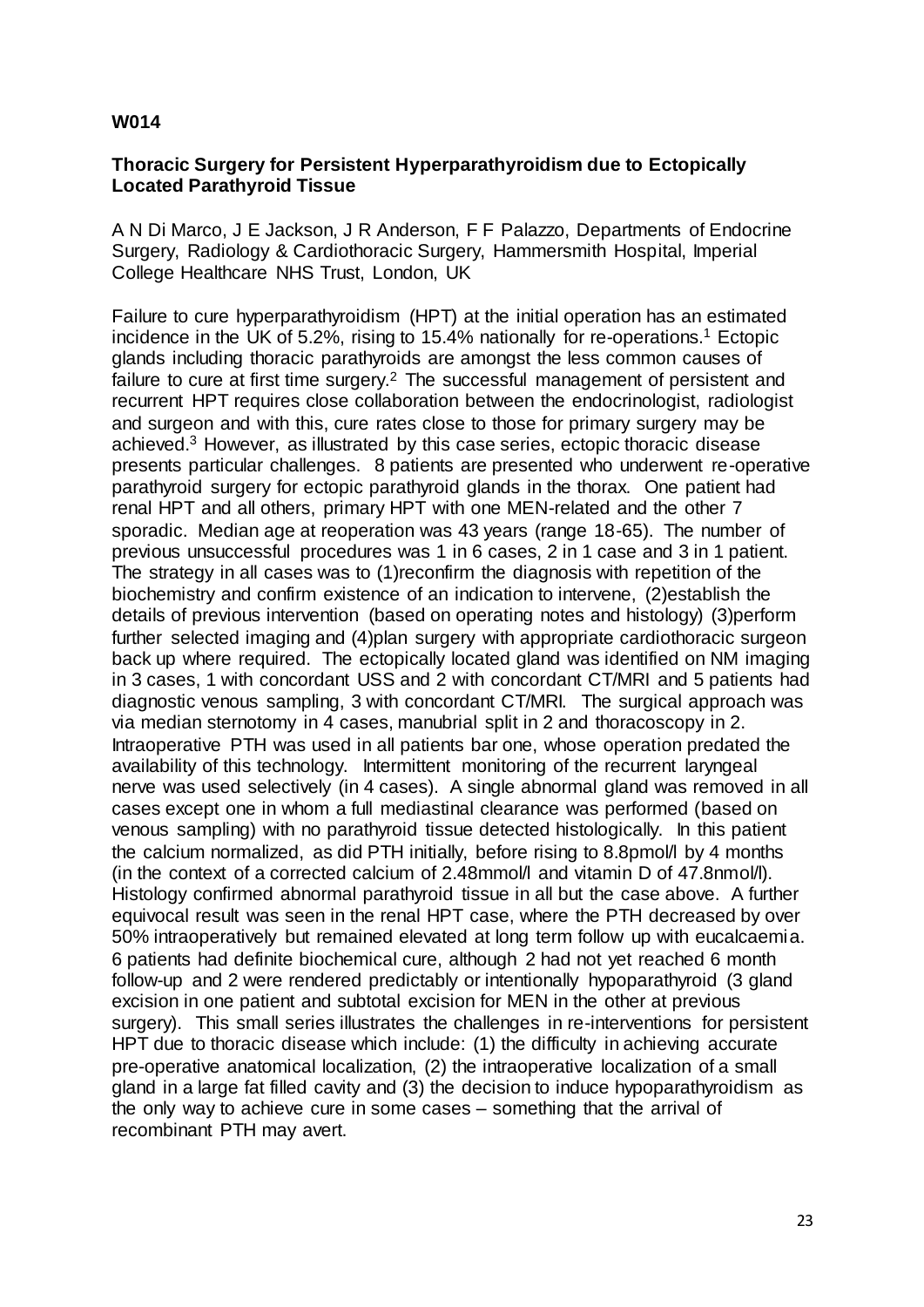#### **Thoracic Surgery for Persistent Hyperparathyroidism due to Ectopically Located Parathyroid Tissue**

A N Di Marco, J E Jackson, J R Anderson, F F Palazzo, Departments of Endocrine Surgery, Radiology & Cardiothoracic Surgery, Hammersmith Hospital, Imperial College Healthcare NHS Trust, London, UK

Failure to cure hyperparathyroidism (HPT) at the initial operation has an estimated incidence in the UK of  $5.2\%$ , rising to 15.4% nationally for re-operations.<sup>1</sup> Ectopic glands including thoracic parathyroids are amongst the less common causes of failure to cure at first time surgery.<sup>2</sup> The successful management of persistent and recurrent HPT requires close collaboration between the endocrinologist, radiologist and surgeon and with this, cure rates close to those for primary surgery may be achieved.<sup>3</sup> However, as illustrated by this case series, ectopic thoracic disease presents particular challenges. 8 patients are presented who underwent re-operative parathyroid surgery for ectopic parathyroid glands in the thorax. One patient had renal HPT and all others, primary HPT with one MEN-related and the other 7 sporadic. Median age at reoperation was 43 years (range 18-65). The number of previous unsuccessful procedures was 1 in 6 cases, 2 in 1 case and 3 in 1 patient. The strategy in all cases was to (1)reconfirm the diagnosis with repetition of the biochemistry and confirm existence of an indication to intervene, (2)establish the details of previous intervention (based on operating notes and histology) (3)perform further selected imaging and (4)plan surgery with appropriate cardiothoracic surgeon back up where required. The ectopically located gland was identified on NM imaging in 3 cases, 1 with concordant USS and 2 with concordant CT/MRI and 5 patients had diagnostic venous sampling, 3 with concordant CT/MRI. The surgical approach was via median sternotomy in 4 cases, manubrial split in 2 and thoracoscopy in 2. Intraoperative PTH was used in all patients bar one, whose operation predated the availability of this technology. Intermittent monitoring of the recurrent laryngeal nerve was used selectively (in 4 cases). A single abnormal gland was removed in all cases except one in whom a full mediastinal clearance was performed (based on venous sampling) with no parathyroid tissue detected histologically. In this patient the calcium normalized, as did PTH initially, before rising to 8.8pmol/l by 4 months (in the context of a corrected calcium of 2.48mmol/l and vitamin D of 47.8nmol/l). Histology confirmed abnormal parathyroid tissue in all but the case above. A further equivocal result was seen in the renal HPT case, where the PTH decreased by over 50% intraoperatively but remained elevated at long term follow up with eucalcaemia. 6 patients had definite biochemical cure, although 2 had not yet reached 6 month follow-up and 2 were rendered predictably or intentionally hypoparathyroid (3 gland excision in one patient and subtotal excision for MEN in the other at previous surgery). This small series illustrates the challenges in re-interventions for persistent HPT due to thoracic disease which include: (1) the difficulty in achieving accurate pre-operative anatomical localization, (2) the intraoperative localization of a small gland in a large fat filled cavity and (3) the decision to induce hypoparathyroidism as the only way to achieve cure in some cases – something that the arrival of recombinant PTH may avert.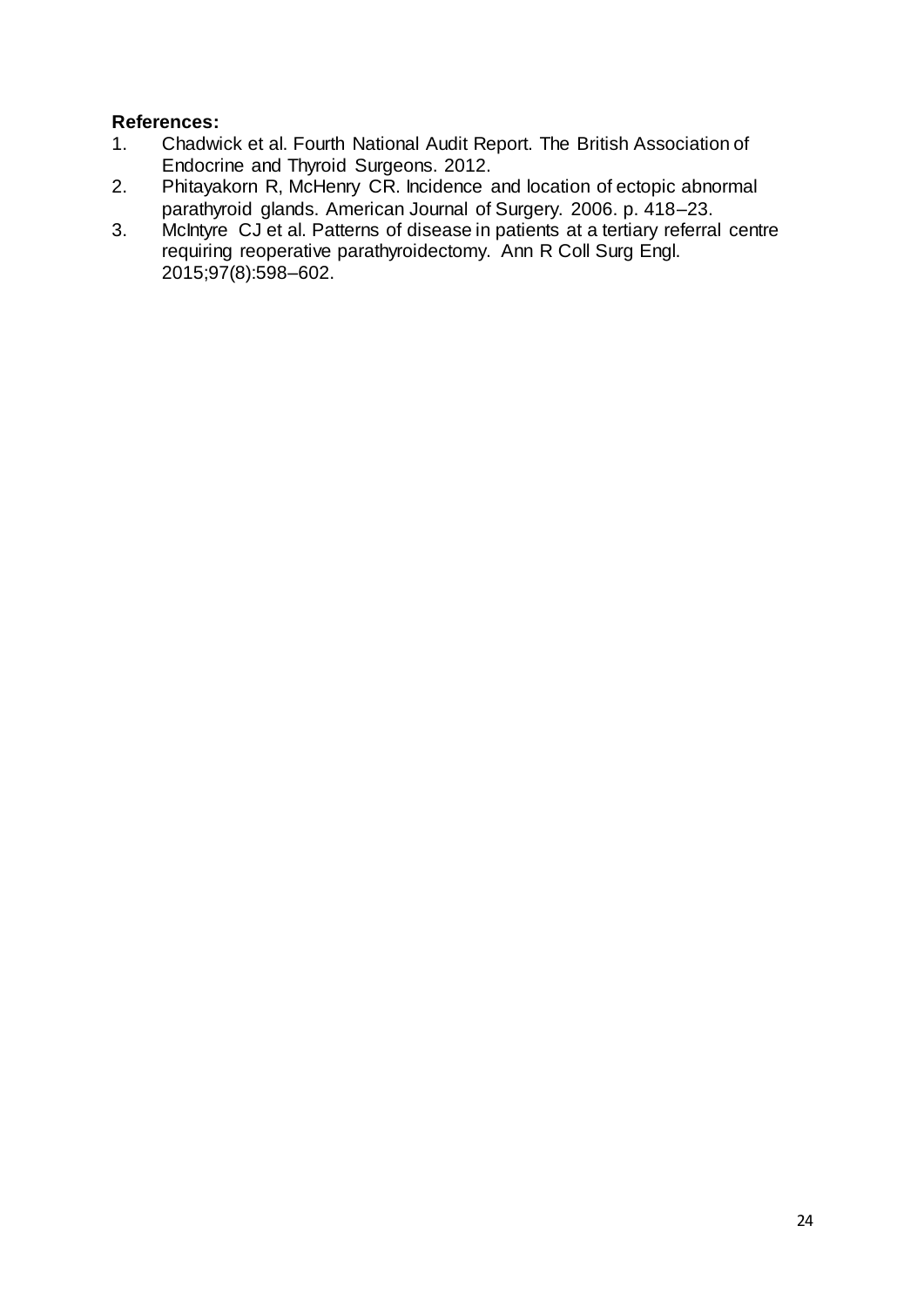#### **References:**

- 1. Chadwick et al. Fourth National Audit Report. The British Association of Endocrine and Thyroid Surgeons. 2012.
- 2. Phitayakorn R, McHenry CR. Incidence and location of ectopic abnormal parathyroid glands. American Journal of Surgery. 2006. p. 418–23.
- 3. McIntyre CJ et al. Patterns of disease in patients at a tertiary referral centre requiring reoperative parathyroidectomy. Ann R Coll Surg Engl. 2015;97(8):598–602.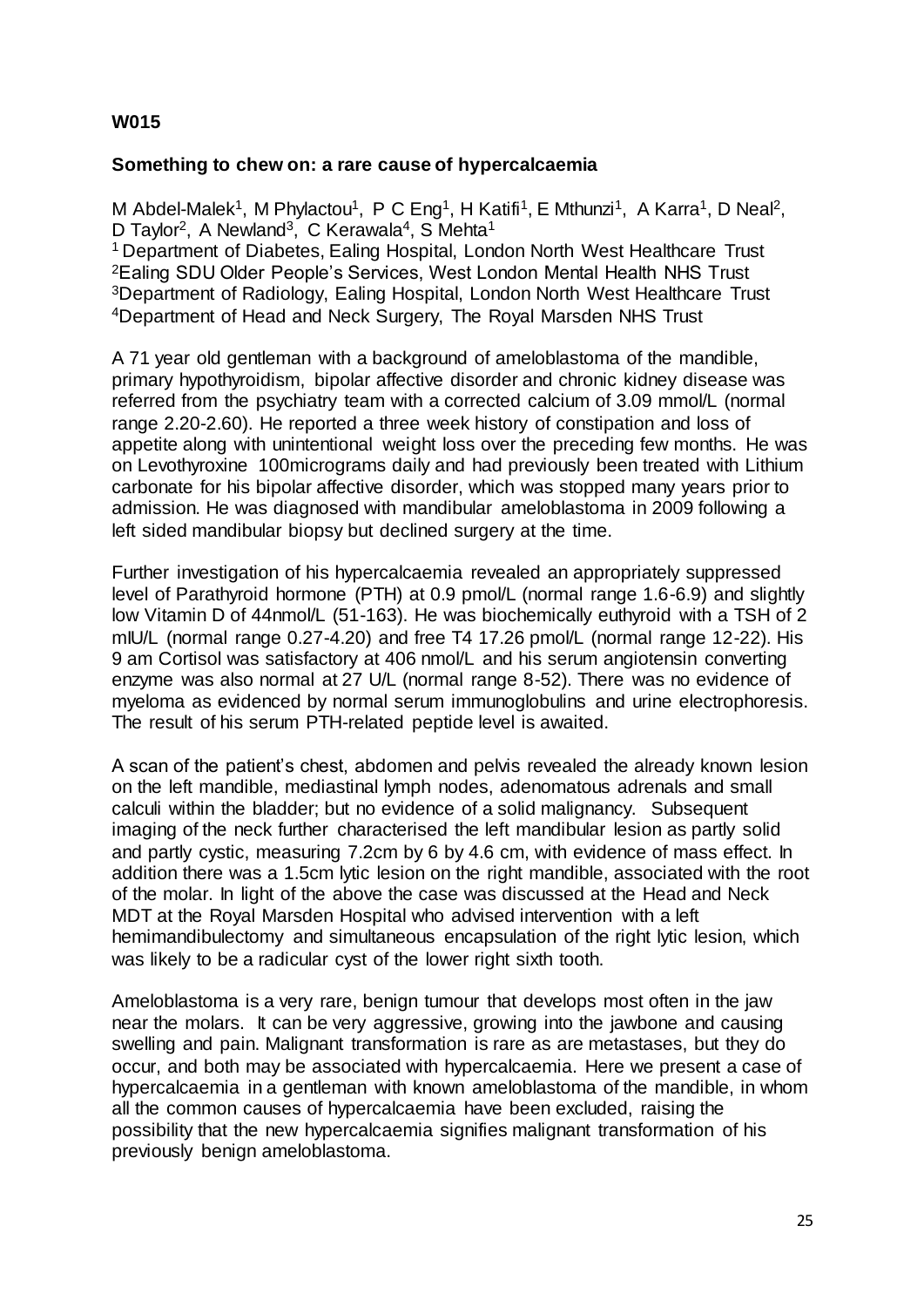#### **Something to chew on: a rare cause of hypercalcaemia**

M Abdel-Malek<sup>1</sup>, M Phylactou<sup>1</sup>, P C Eng<sup>1</sup>, H Katifi<sup>1</sup>, E Mthunzi<sup>1</sup>, A Karra<sup>1</sup>, D Neal<sup>2</sup>, D Taylor<sup>2</sup>, A Newland<sup>3</sup>, C Kerawala<sup>4</sup>, S Mehta<sup>1</sup>

Department of Diabetes, Ealing Hospital, London North West Healthcare Trust Ealing SDU Older People's Services, West London Mental Health NHS Trust Department of Radiology, Ealing Hospital, London North West Healthcare Trust Department of Head and Neck Surgery, The Royal Marsden NHS Trust

A 71 year old gentleman with a background of ameloblastoma of the mandible, primary hypothyroidism, bipolar affective disorder and chronic kidney disease was referred from the psychiatry team with a corrected calcium of 3.09 mmol/L (normal range 2.20-2.60). He reported a three week history of constipation and loss of appetite along with unintentional weight loss over the preceding few months. He was on Levothyroxine 100micrograms daily and had previously been treated with Lithium carbonate for his bipolar affective disorder, which was stopped many years prior to admission. He was diagnosed with mandibular ameloblastoma in 2009 following a left sided mandibular biopsy but declined surgery at the time.

Further investigation of his hypercalcaemia revealed an appropriately suppressed level of Parathyroid hormone (PTH) at 0.9 pmol/L (normal range 1.6-6.9) and slightly low Vitamin D of 44nmol/L (51-163). He was biochemically euthyroid with a TSH of 2 mIU/L (normal range 0.27-4.20) and free T4 17.26 pmol/L (normal range 12-22). His 9 am Cortisol was satisfactory at 406 nmol/L and his serum angiotensin converting enzyme was also normal at 27 U/L (normal range 8-52). There was no evidence of myeloma as evidenced by normal serum immunoglobulins and urine electrophoresis. The result of his serum PTH-related peptide level is awaited.

A scan of the patient's chest, abdomen and pelvis revealed the already known lesion on the left mandible, mediastinal lymph nodes, adenomatous adrenals and small calculi within the bladder; but no evidence of a solid malignancy. Subsequent imaging of the neck further characterised the left mandibular lesion as partly solid and partly cystic, measuring 7.2cm by 6 by 4.6 cm, with evidence of mass effect. In addition there was a 1.5cm lytic lesion on the right mandible, associated with the root of the molar. In light of the above the case was discussed at the Head and Neck MDT at the Royal Marsden Hospital who advised intervention with a left hemimandibulectomy and simultaneous encapsulation of the right lytic lesion, which was likely to be a radicular cyst of the lower right sixth tooth.

Ameloblastoma is a very rare, benign tumour that develops most often in the jaw near the molars. It can be very aggressive, growing into the jawbone and causing swelling and pain. Malignant transformation is rare as are metastases, but they do occur, and both may be associated with hypercalcaemia. Here we present a case of hypercalcaemia in a gentleman with known ameloblastoma of the mandible, in whom all the common causes of hypercalcaemia have been excluded, raising the possibility that the new hypercalcaemia signifies malignant transformation of his previously benign ameloblastoma.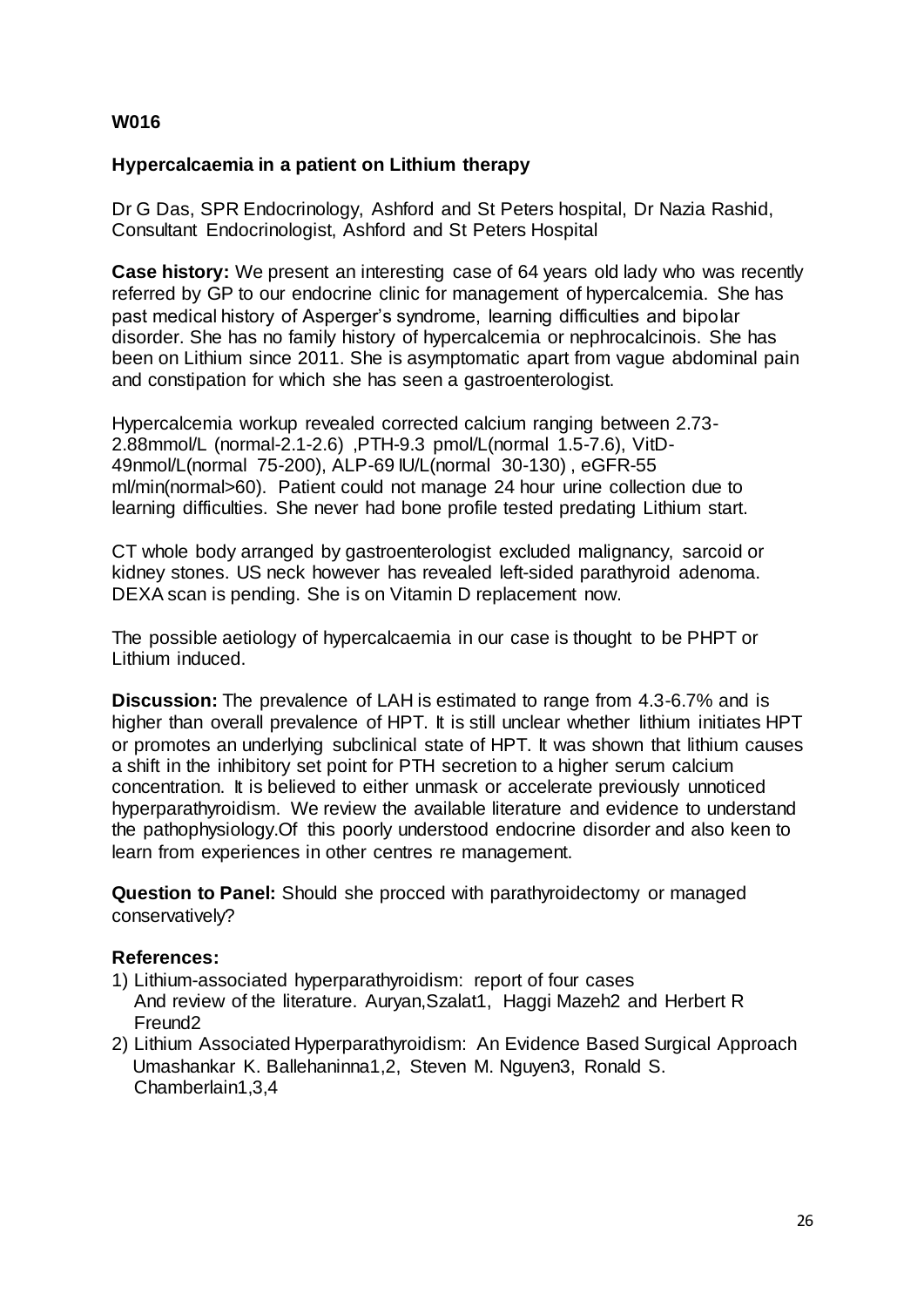#### **Hypercalcaemia in a patient on Lithium therapy**

Dr G Das, SPR Endocrinology, Ashford and St Peters hospital, Dr Nazia Rashid, Consultant Endocrinologist, Ashford and St Peters Hospital

**Case history:** We present an interesting case of 64 years old lady who was recently referred by GP to our endocrine clinic for management of hypercalcemia. She has past medical history of Asperger's syndrome, learning difficulties and bipolar disorder. She has no family history of hypercalcemia or nephrocalcinois. She has been on Lithium since 2011. She is asymptomatic apart from vague abdominal pain and constipation for which she has seen a gastroenterologist.

Hypercalcemia workup revealed corrected calcium ranging between 2.73- 2.88mmol/L (normal-2.1-2.6) ,PTH-9.3 pmol/L(normal 1.5-7.6), VitD-49nmol/L(normal 75-200), ALP-69 IU/L(normal 30-130) , eGFR-55 ml/min(normal>60). Patient could not manage 24 hour urine collection due to learning difficulties. She never had bone profile tested predating Lithium start.

CT whole body arranged by gastroenterologist excluded malignancy, sarcoid or kidney stones. US neck however has revealed left-sided parathyroid adenoma. DEXA scan is pending. She is on Vitamin D replacement now.

The possible aetiology of hypercalcaemia in our case is thought to be PHPT or Lithium induced.

**Discussion:** The prevalence of LAH is estimated to range from 4.3-6.7% and is higher than overall prevalence of HPT. It is still unclear whether lithium initiates HPT or promotes an underlying subclinical state of HPT. It was shown that lithium causes a shift in the inhibitory set point for PTH secretion to a higher serum calcium concentration. It is believed to either unmask or accelerate previously unnoticed hyperparathyroidism. We review the available literature and evidence to understand the pathophysiology.Of this poorly understood endocrine disorder and also keen to learn from experiences in other centres re management.

**Question to Panel:** Should she procced with parathyroidectomy or managed conservatively?

#### **References:**

- 1) Lithium-associated hyperparathyroidism: report of four cases And review of the literature. Auryan,Szalat1, Haggi Mazeh2 and Herbert R Freund2
- 2) Lithium Associated Hyperparathyroidism: An Evidence Based Surgical Approach Umashankar K. Ballehaninna1,2, Steven M. Nguyen3, Ronald S. Chamberlain1,3,4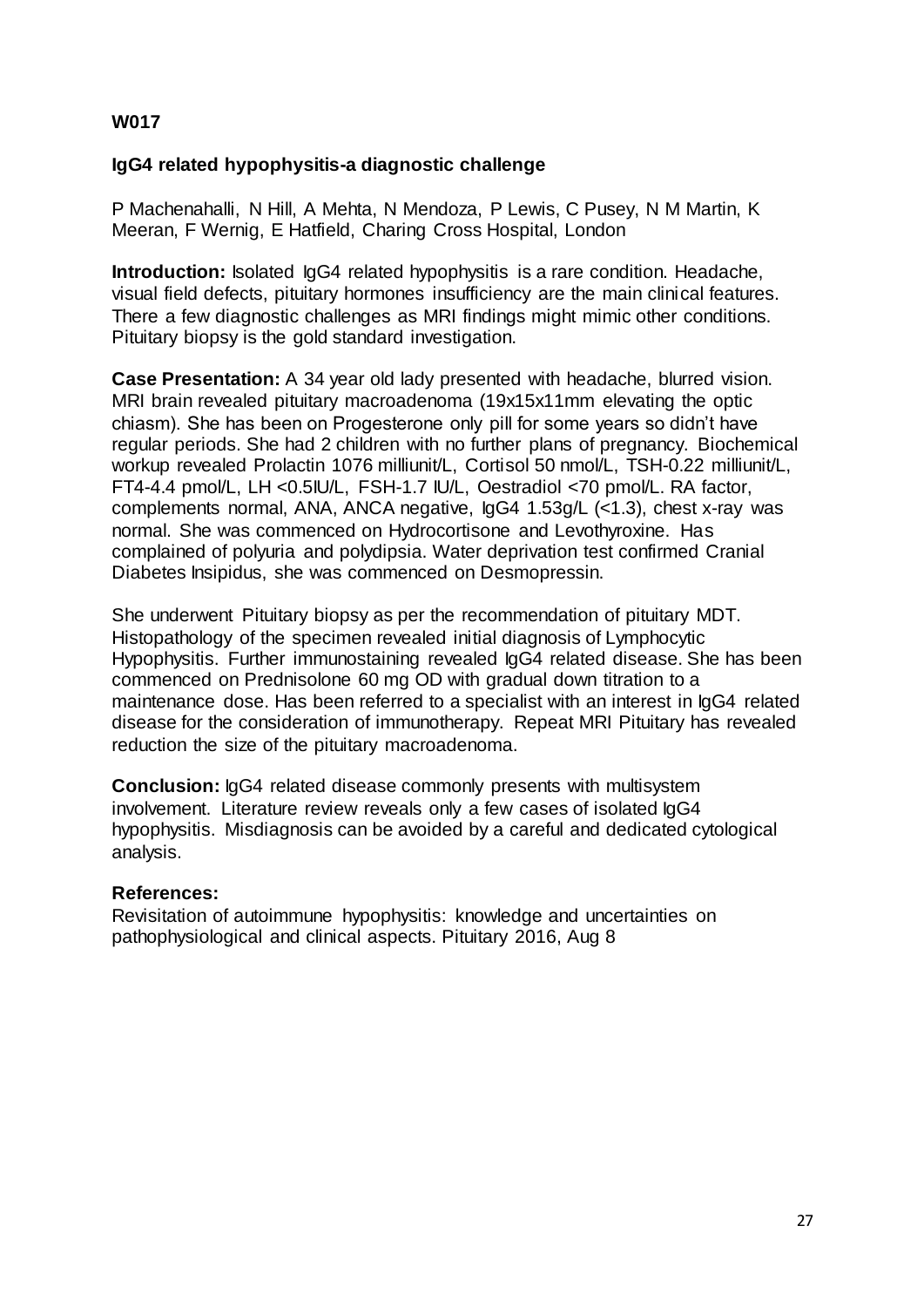#### **IgG4 related hypophysitis-a diagnostic challenge**

P Machenahalli, N Hill, A Mehta, N Mendoza, P Lewis, C Pusey, N M Martin, K Meeran, F Wernig, E Hatfield, Charing Cross Hospital, London

**Introduction:** Isolated IgG4 related hypophysitis is a rare condition. Headache, visual field defects, pituitary hormones insufficiency are the main clinical features. There a few diagnostic challenges as MRI findings might mimic other conditions. Pituitary biopsy is the gold standard investigation.

**Case Presentation:** A 34 year old lady presented with headache, blurred vision. MRI brain revealed pituitary macroadenoma (19x15x11mm elevating the optic chiasm). She has been on Progesterone only pill for some years so didn't have regular periods. She had 2 children with no further plans of pregnancy. Biochemical workup revealed Prolactin 1076 milliunit/L, Cortisol 50 nmol/L, TSH-0.22 milliunit/L, FT4-4.4 pmol/L, LH <0.5IU/L, FSH-1.7 IU/L, Oestradiol <70 pmol/L. RA factor, complements normal, ANA, ANCA negative, IgG4 1.53g/L (<1.3), chest x-ray was normal. She was commenced on Hydrocortisone and Levothyroxine. Has complained of polyuria and polydipsia. Water deprivation test confirmed Cranial Diabetes Insipidus, she was commenced on Desmopressin.

She underwent Pituitary biopsy as per the recommendation of pituitary MDT. Histopathology of the specimen revealed initial diagnosis of Lymphocytic Hypophysitis. Further immunostaining revealed IgG4 related disease. She has been commenced on Prednisolone 60 mg OD with gradual down titration to a maintenance dose. Has been referred to a specialist with an interest in IgG4 related disease for the consideration of immunotherapy. Repeat MRI Pituitary has revealed reduction the size of the pituitary macroadenoma.

**Conclusion:** IgG4 related disease commonly presents with multisystem involvement. Literature review reveals only a few cases of isolated IgG4 hypophysitis. Misdiagnosis can be avoided by a careful and dedicated cytological analysis.

#### **References:**

Revisitation of autoimmune hypophysitis: knowledge and uncertainties on pathophysiological and clinical aspects. Pituitary 2016, Aug 8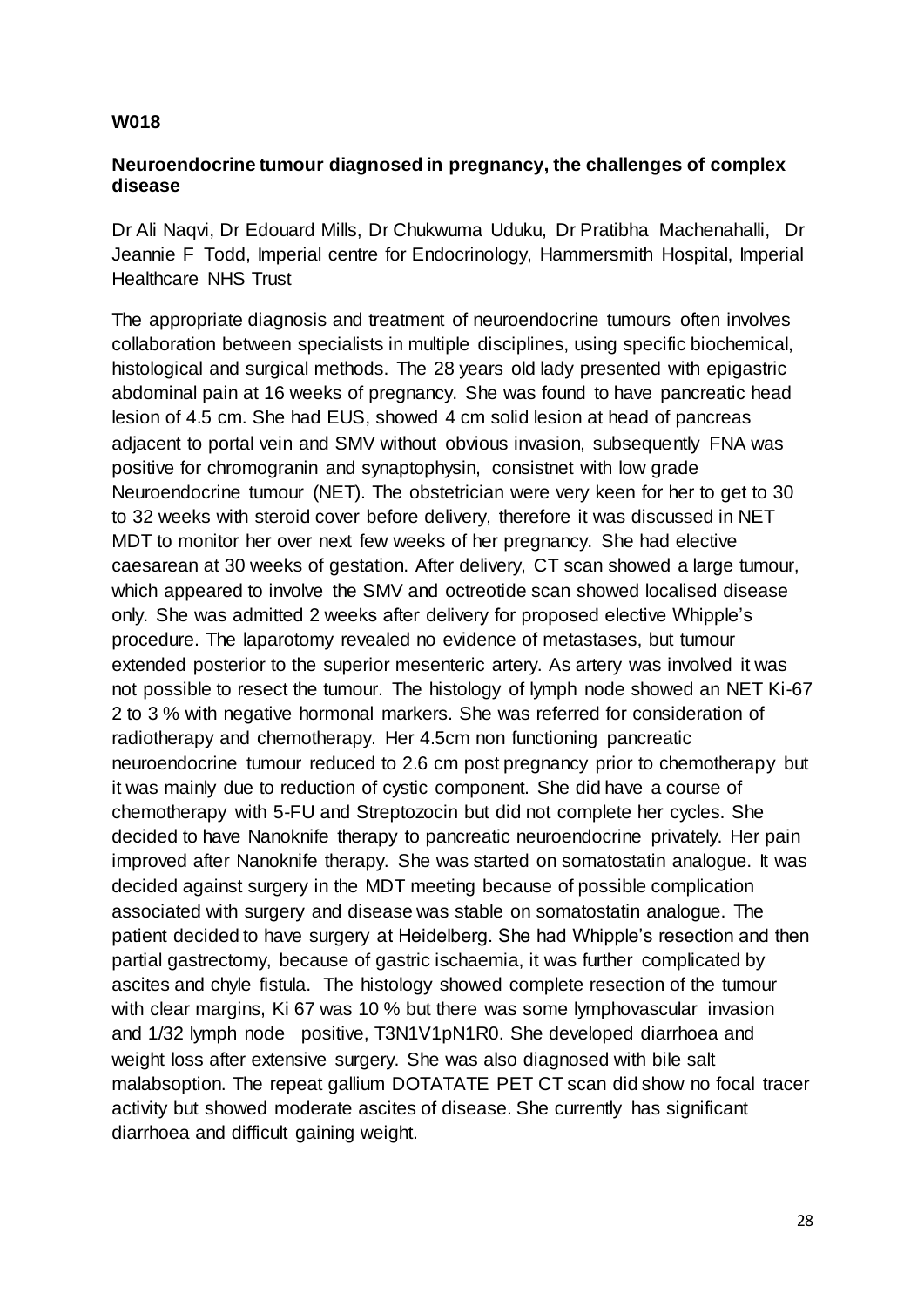#### **Neuroendocrine tumour diagnosed in pregnancy, the challenges of complex disease**

Dr Ali Naqvi, Dr Edouard Mills, Dr Chukwuma Uduku, Dr Pratibha Machenahalli, Dr Jeannie F Todd, Imperial centre for Endocrinology, Hammersmith Hospital, Imperial Healthcare NHS Trust

The appropriate diagnosis and treatment of neuroendocrine tumours often involves collaboration between specialists in multiple disciplines, using specific biochemical, histological and surgical methods. The 28 years old lady presented with epigastric abdominal pain at 16 weeks of pregnancy. She was found to have pancreatic head lesion of 4.5 cm. She had EUS, showed 4 cm solid lesion at head of pancreas adjacent to portal vein and SMV without obvious invasion, subsequently FNA was positive for chromogranin and synaptophysin, consistnet with low grade Neuroendocrine tumour (NET). The obstetrician were very keen for her to get to 30 to 32 weeks with steroid cover before delivery, therefore it was discussed in NET MDT to monitor her over next few weeks of her pregnancy. She had elective caesarean at 30 weeks of gestation. After delivery, CT scan showed a large tumour, which appeared to involve the SMV and octreotide scan showed localised disease only. She was admitted 2 weeks after delivery for proposed elective Whipple's procedure. The laparotomy revealed no evidence of metastases, but tumour extended posterior to the superior mesenteric artery. As artery was involved it was not possible to resect the tumour. The histology of lymph node showed an NET Ki-67 2 to 3 % with negative hormonal markers. She was referred for consideration of radiotherapy and chemotherapy. Her 4.5cm non functioning pancreatic neuroendocrine tumour reduced to 2.6 cm post pregnancy prior to chemotherapy but it was mainly due to reduction of cystic component. She did have a course of chemotherapy with 5-FU and Streptozocin but did not complete her cycles. She decided to have Nanoknife therapy to pancreatic neuroendocrine privately. Her pain improved after Nanoknife therapy. She was started on somatostatin analogue. It was decided against surgery in the MDT meeting because of possible complication associated with surgery and disease was stable on somatostatin analogue. The patient decided to have surgery at Heidelberg. She had Whipple's resection and then partial gastrectomy, because of gastric ischaemia, it was further complicated by ascites and chyle fistula. The histology showed complete resection of the tumour with clear margins, Ki 67 was 10 % but there was some lymphovascular invasion and 1/32 lymph node positive, T3N1V1pN1R0. She developed diarrhoea and weight loss after extensive surgery. She was also diagnosed with bile salt malabsoption. The repeat gallium DOTATATE PET CT scan did show no focal tracer activity but showed moderate ascites of disease. She currently has significant diarrhoea and difficult gaining weight.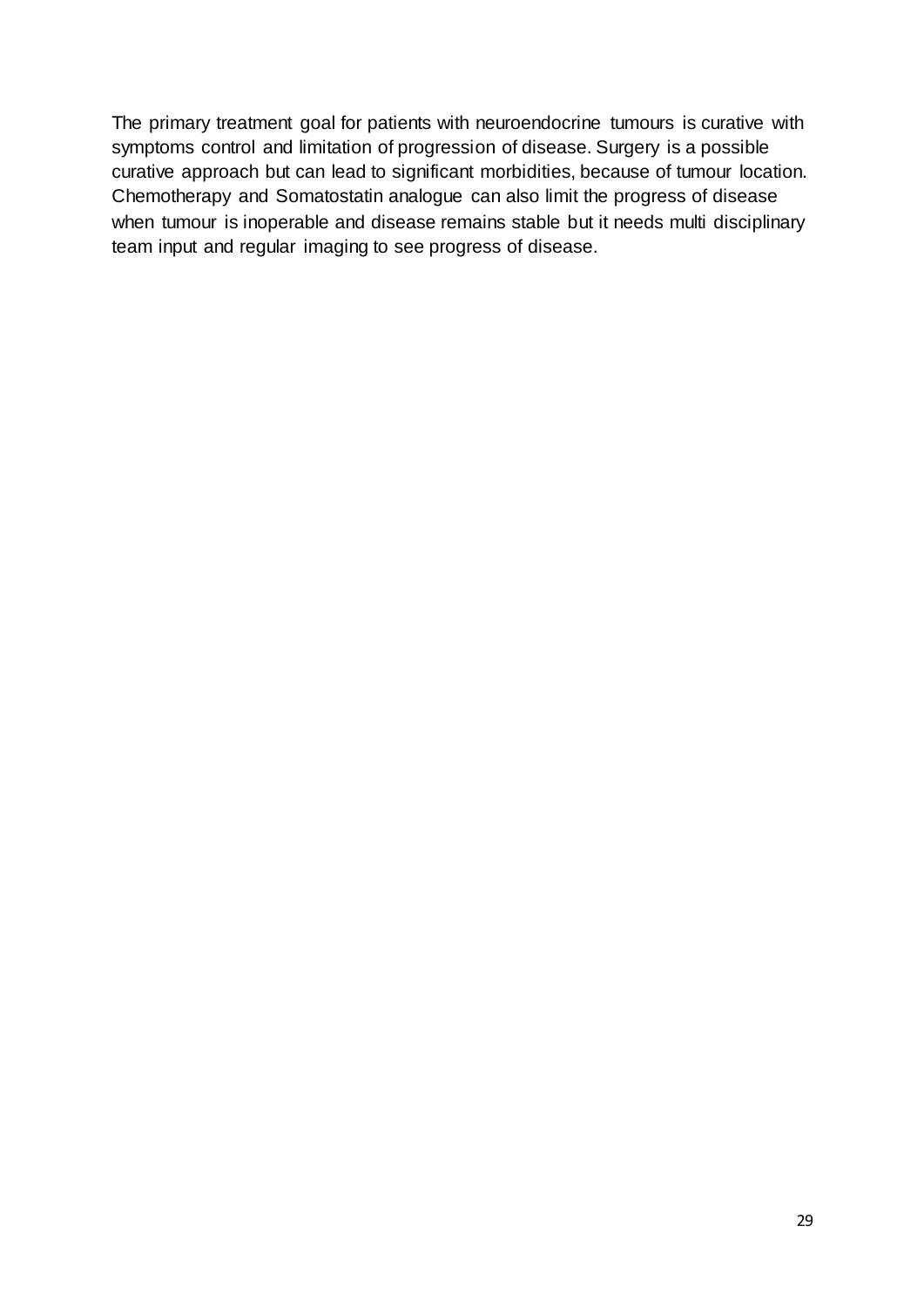The primary treatment goal for patients with neuroendocrine tumours is curative with symptoms control and limitation of progression of disease. Surgery is a possible curative approach but can lead to significant morbidities, because of tumour location. Chemotherapy and Somatostatin analogue can also limit the progress of disease when tumour is inoperable and disease remains stable but it needs multi disciplinary team input and regular imaging to see progress of disease.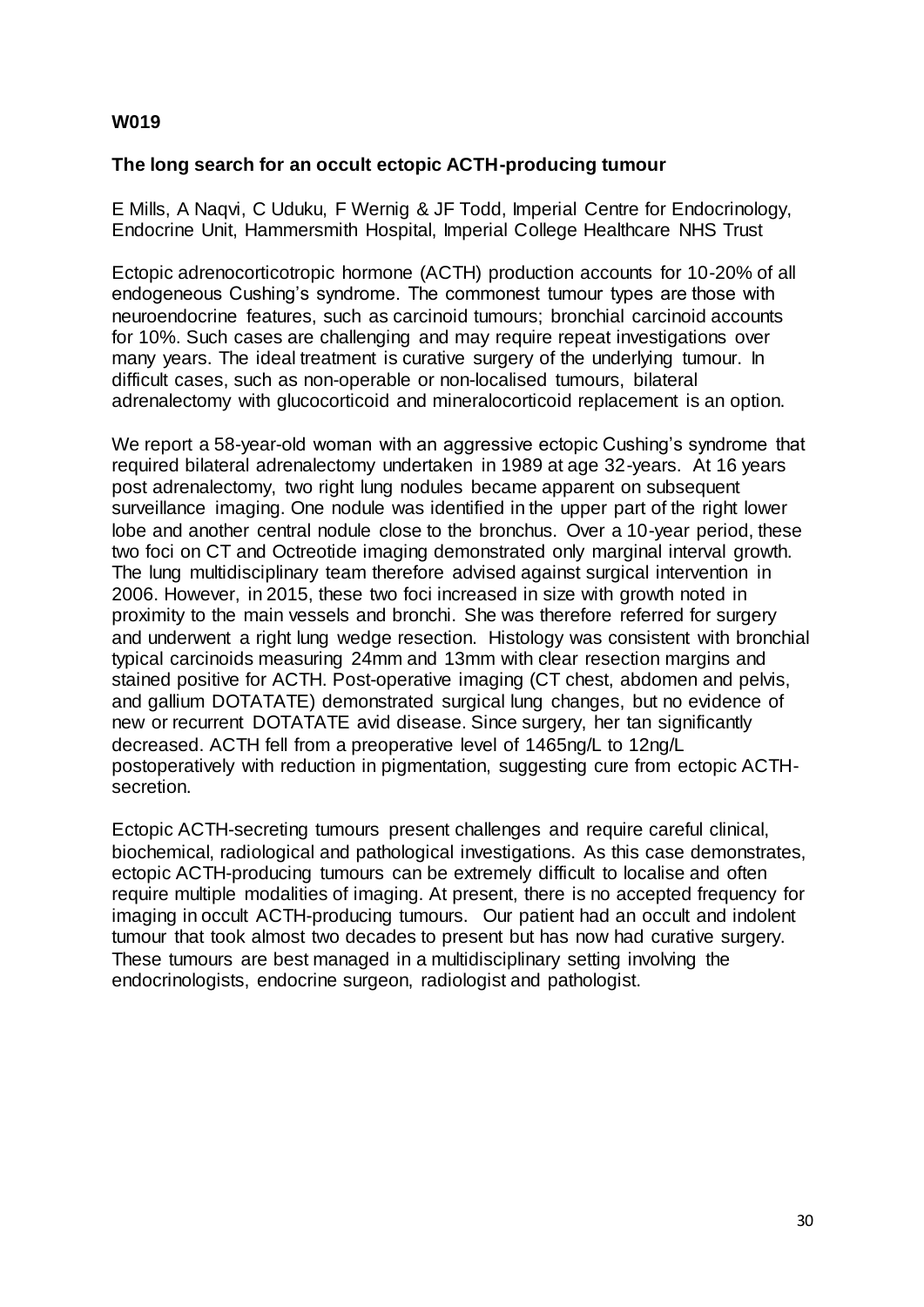#### **The long search for an occult ectopic ACTH-producing tumour**

E Mills, A Naqvi, C Uduku, F Wernig & JF Todd, Imperial Centre for Endocrinology, Endocrine Unit, Hammersmith Hospital, Imperial College Healthcare NHS Trust

Ectopic adrenocorticotropic hormone (ACTH) production accounts for 10-20% of all endogeneous Cushing's syndrome. The commonest tumour types are those with neuroendocrine features, such as carcinoid tumours; bronchial carcinoid accounts for 10%. Such cases are challenging and may require repeat investigations over many years. The ideal treatment is curative surgery of the underlying tumour. In difficult cases, such as non-operable or non-localised tumours, bilateral adrenalectomy with glucocorticoid and mineralocorticoid replacement is an option.

We report a 58-year-old woman with an aggressive ectopic Cushing's syndrome that required bilateral adrenalectomy undertaken in 1989 at age 32-years. At 16 years post adrenalectomy, two right lung nodules became apparent on subsequent surveillance imaging. One nodule was identified in the upper part of the right lower lobe and another central nodule close to the bronchus. Over a 10-year period, these two foci on CT and Octreotide imaging demonstrated only marginal interval growth. The lung multidisciplinary team therefore advised against surgical intervention in 2006. However, in 2015, these two foci increased in size with growth noted in proximity to the main vessels and bronchi. She was therefore referred for surgery and underwent a right lung wedge resection. Histology was consistent with bronchial typical carcinoids measuring 24mm and 13mm with clear resection margins and stained positive for ACTH. Post-operative imaging (CT chest, abdomen and pelvis, and gallium DOTATATE) demonstrated surgical lung changes, but no evidence of new or recurrent DOTATATE avid disease. Since surgery, her tan significantly decreased. ACTH fell from a preoperative level of 1465ng/L to 12ng/L postoperatively with reduction in pigmentation, suggesting cure from ectopic ACTHsecretion.

Ectopic ACTH-secreting tumours present challenges and require careful clinical, biochemical, radiological and pathological investigations. As this case demonstrates, ectopic ACTH-producing tumours can be extremely difficult to localise and often require multiple modalities of imaging. At present, there is no accepted frequency for imaging in occult ACTH-producing tumours. Our patient had an occult and indolent tumour that took almost two decades to present but has now had curative surgery. These tumours are best managed in a multidisciplinary setting involving the endocrinologists, endocrine surgeon, radiologist and pathologist.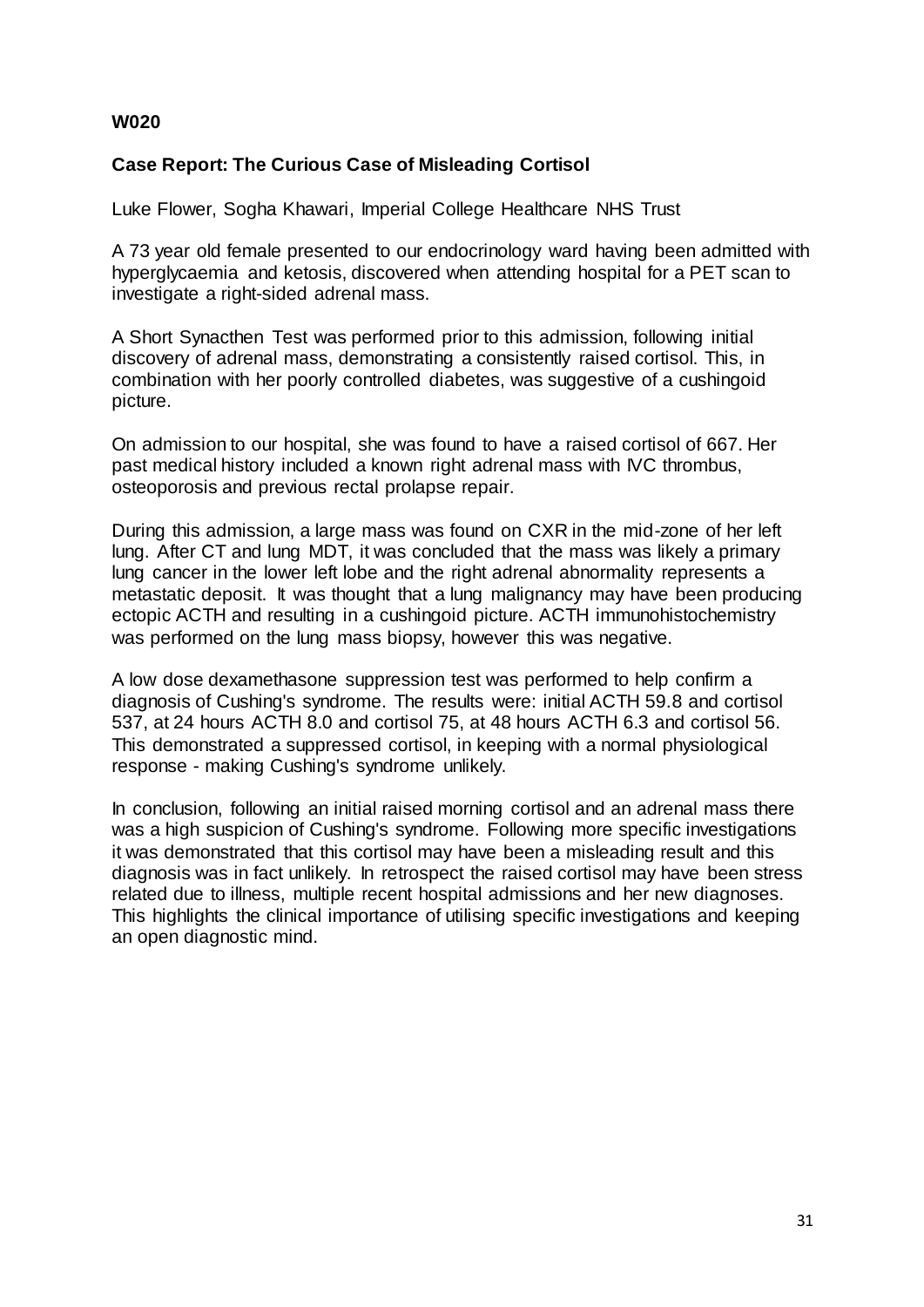#### **Case Report: The Curious Case of Misleading Cortisol**

Luke Flower, Sogha Khawari, Imperial College Healthcare NHS Trust

A 73 year old female presented to our endocrinology ward having been admitted with hyperglycaemia and ketosis, discovered when attending hospital for a PET scan to investigate a right-sided adrenal mass.

A Short Synacthen Test was performed prior to this admission, following initial discovery of adrenal mass, demonstrating a consistently raised cortisol. This, in combination with her poorly controlled diabetes, was suggestive of a cushingoid picture.

On admission to our hospital, she was found to have a raised cortisol of 667. Her past medical history included a known right adrenal mass with IVC thrombus, osteoporosis and previous rectal prolapse repair.

During this admission, a large mass was found on CXR in the mid-zone of her left lung. After CT and lung MDT, it was concluded that the mass was likely a primary lung cancer in the lower left lobe and the right adrenal abnormality represents a metastatic deposit. It was thought that a lung malignancy may have been producing ectopic ACTH and resulting in a cushingoid picture. ACTH immunohistochemistry was performed on the lung mass biopsy, however this was negative.

A low dose dexamethasone suppression test was performed to help confirm a diagnosis of Cushing's syndrome. The results were: initial ACTH 59.8 and cortisol 537, at 24 hours ACTH 8.0 and cortisol 75, at 48 hours ACTH 6.3 and cortisol 56. This demonstrated a suppressed cortisol, in keeping with a normal physiological response - making Cushing's syndrome unlikely.

In conclusion, following an initial raised morning cortisol and an adrenal mass there was a high suspicion of Cushing's syndrome. Following more specific investigations it was demonstrated that this cortisol may have been a misleading result and this diagnosis was in fact unlikely. In retrospect the raised cortisol may have been stress related due to illness, multiple recent hospital admissions and her new diagnoses. This highlights the clinical importance of utilising specific investigations and keeping an open diagnostic mind.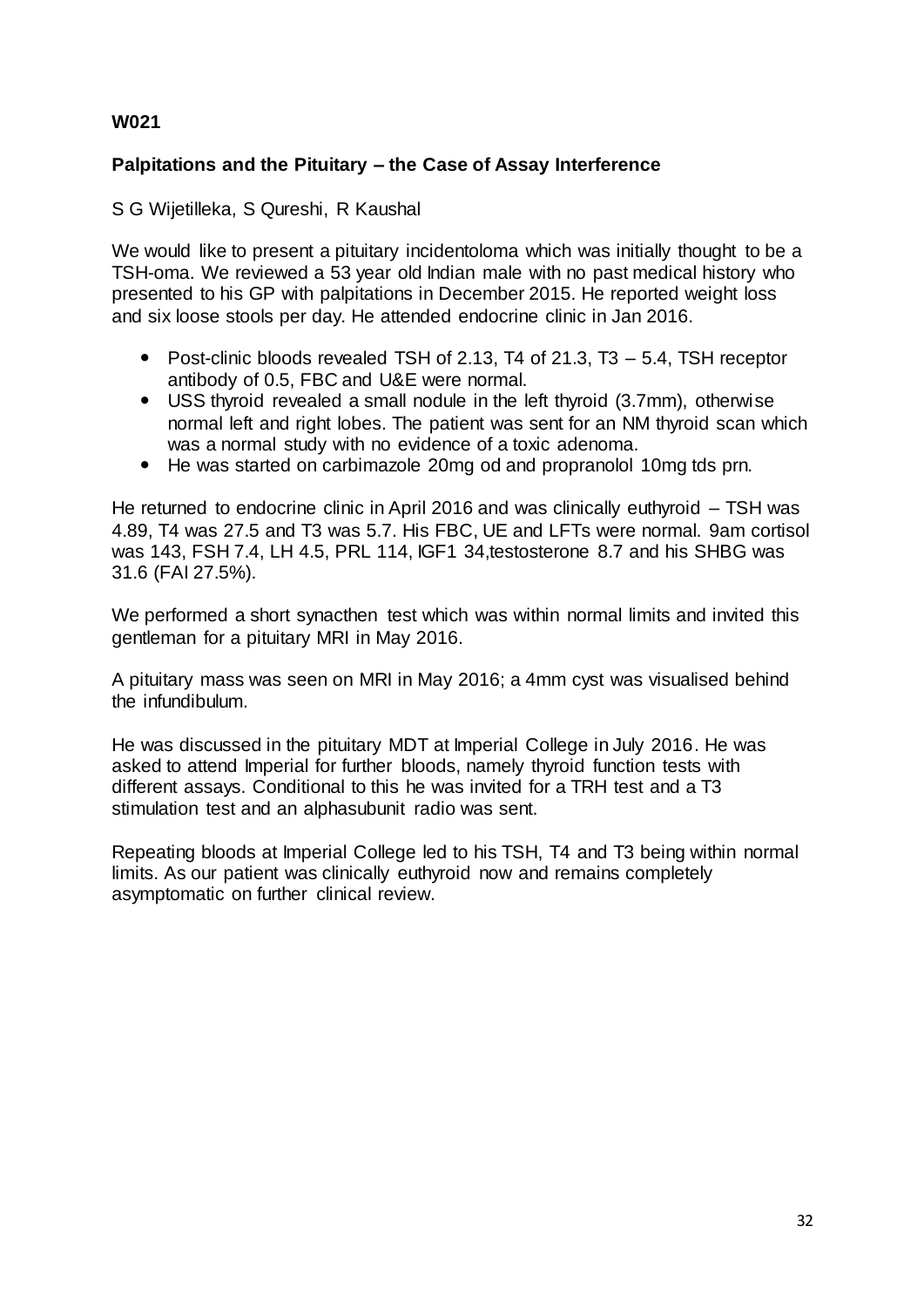#### **Palpitations and the Pituitary – the Case of Assay Interference**

S G Wijetilleka, S Qureshi, R Kaushal

We would like to present a pituitary incidentoloma which was initially thought to be a TSH-oma. We reviewed a 53 year old Indian male with no past medical history who presented to his GP with palpitations in December 2015. He reported weight loss and six loose stools per day. He attended endocrine clinic in Jan 2016.

- Post-clinic bloods revealed TSH of 2.13, T4 of 21.3, T3 5.4, TSH receptor antibody of 0.5, FBC and U&E were normal.
- USS thyroid revealed a small nodule in the left thyroid (3.7mm), otherwise normal left and right lobes. The patient was sent for an NM thyroid scan which was a normal study with no evidence of a toxic adenoma.
- He was started on carbimazole 20mg od and propranolol 10mg tds prn.

He returned to endocrine clinic in April 2016 and was clinically euthyroid – TSH was 4.89, T4 was 27.5 and T3 was 5.7. His FBC, UE and LFTs were normal. 9am cortisol was 143, FSH 7.4, LH 4.5, PRL 114, IGF1 34,testosterone 8.7 and his SHBG was 31.6 (FAI 27.5%).

We performed a short synacthen test which was within normal limits and invited this gentleman for a pituitary MRI in May 2016.

A pituitary mass was seen on MRI in May 2016; a 4mm cyst was visualised behind the infundibulum.

He was discussed in the pituitary MDT at Imperial College in July 2016. He was asked to attend Imperial for further bloods, namely thyroid function tests with different assays. Conditional to this he was invited for a TRH test and a T3 stimulation test and an alphasubunit radio was sent.

Repeating bloods at Imperial College led to his TSH, T4 and T3 being within normal limits. As our patient was clinically euthyroid now and remains completely asymptomatic on further clinical review.